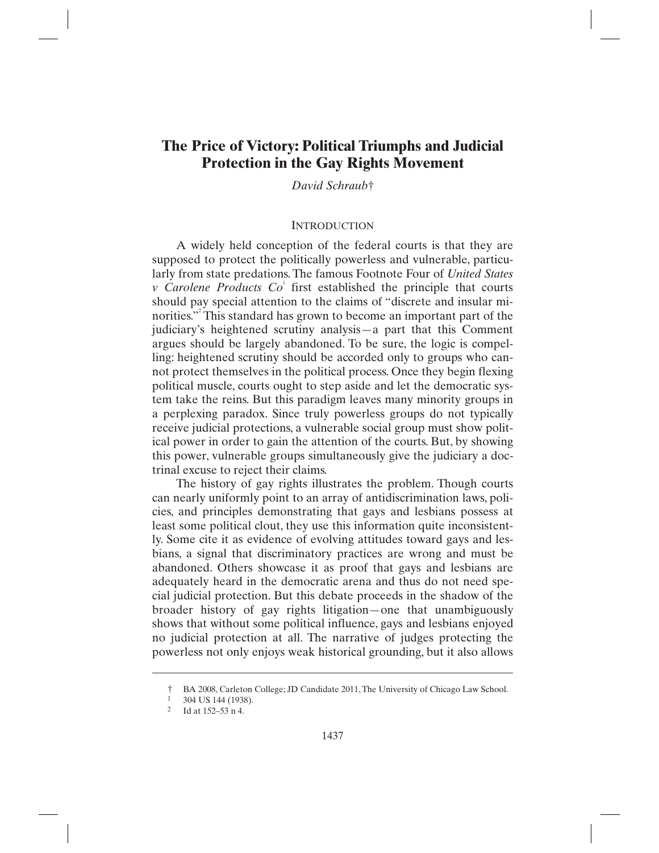# **The Price of Victory: Political Triumphs and Judicial Protection in the Gay Rights Movement**

*David Schraub*†

## **INTRODUCTION**

A widely held conception of the federal courts is that they are supposed to protect the politically powerless and vulnerable, particularly from state predations. The famous Footnote Four of *United States v* Carolene Products  $Co<sup>1</sup>$  first established the principle that courts should pay special attention to the claims of "discrete and insular minorities."<sup>2</sup> This standard has grown to become an important part of the judiciary's heightened scrutiny analysis—a part that this Comment argues should be largely abandoned. To be sure, the logic is compelling: heightened scrutiny should be accorded only to groups who cannot protect themselves in the political process. Once they begin flexing political muscle, courts ought to step aside and let the democratic system take the reins. But this paradigm leaves many minority groups in a perplexing paradox. Since truly powerless groups do not typically receive judicial protections, a vulnerable social group must show political power in order to gain the attention of the courts. But, by showing this power, vulnerable groups simultaneously give the judiciary a doctrinal excuse to reject their claims.

The history of gay rights illustrates the problem. Though courts can nearly uniformly point to an array of antidiscrimination laws, policies, and principles demonstrating that gays and lesbians possess at least some political clout, they use this information quite inconsistently. Some cite it as evidence of evolving attitudes toward gays and lesbians, a signal that discriminatory practices are wrong and must be abandoned. Others showcase it as proof that gays and lesbians are adequately heard in the democratic arena and thus do not need special judicial protection. But this debate proceeds in the shadow of the broader history of gay rights litigation—one that unambiguously shows that without some political influence, gays and lesbians enjoyed no judicial protection at all. The narrative of judges protecting the powerless not only enjoys weak historical grounding, but it also allows

<sup>†</sup> BA 2008, Carleton College; JD Candidate 2011, The University of Chicago Law School.

<sup>1 304</sup> US 144 (1938).

<sup>2</sup> Id at 152–53 n 4.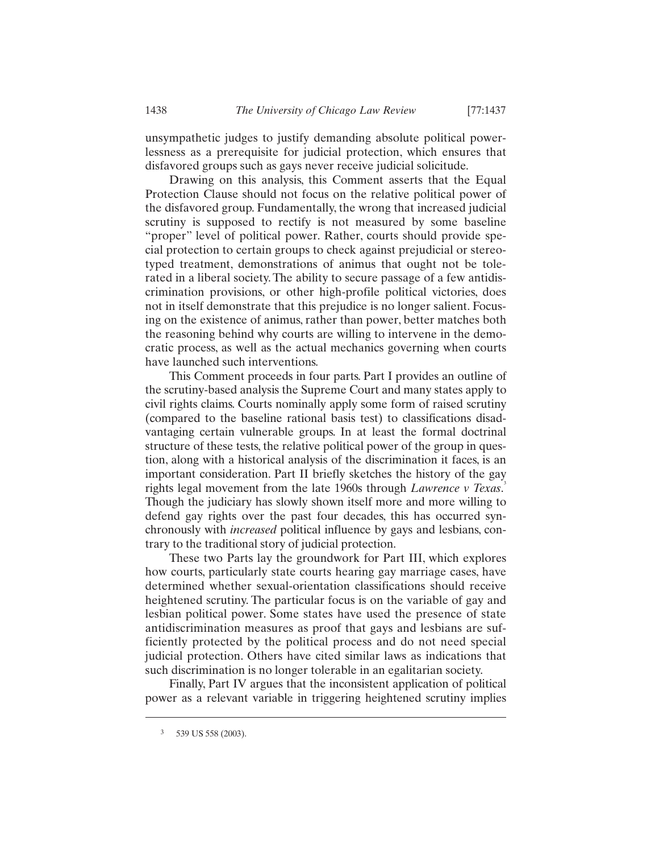unsympathetic judges to justify demanding absolute political powerlessness as a prerequisite for judicial protection, which ensures that disfavored groups such as gays never receive judicial solicitude.

Drawing on this analysis, this Comment asserts that the Equal Protection Clause should not focus on the relative political power of the disfavored group. Fundamentally, the wrong that increased judicial scrutiny is supposed to rectify is not measured by some baseline "proper" level of political power. Rather, courts should provide special protection to certain groups to check against prejudicial or stereotyped treatment, demonstrations of animus that ought not be tolerated in a liberal society. The ability to secure passage of a few antidiscrimination provisions, or other high-profile political victories, does not in itself demonstrate that this prejudice is no longer salient. Focusing on the existence of animus, rather than power, better matches both the reasoning behind why courts are willing to intervene in the democratic process, as well as the actual mechanics governing when courts have launched such interventions.

This Comment proceeds in four parts. Part I provides an outline of the scrutiny-based analysis the Supreme Court and many states apply to civil rights claims. Courts nominally apply some form of raised scrutiny (compared to the baseline rational basis test) to classifications disadvantaging certain vulnerable groups. In at least the formal doctrinal structure of these tests, the relative political power of the group in question, along with a historical analysis of the discrimination it faces, is an important consideration. Part II briefly sketches the history of the gay rights legal movement from the late 1960s through *Lawrence v Texas*. 3 Though the judiciary has slowly shown itself more and more willing to defend gay rights over the past four decades, this has occurred synchronously with *increased* political influence by gays and lesbians, contrary to the traditional story of judicial protection.

These two Parts lay the groundwork for Part III, which explores how courts, particularly state courts hearing gay marriage cases, have determined whether sexual-orientation classifications should receive heightened scrutiny. The particular focus is on the variable of gay and lesbian political power. Some states have used the presence of state antidiscrimination measures as proof that gays and lesbians are sufficiently protected by the political process and do not need special judicial protection. Others have cited similar laws as indications that such discrimination is no longer tolerable in an egalitarian society.

Finally, Part IV argues that the inconsistent application of political power as a relevant variable in triggering heightened scrutiny implies

<sup>3 539</sup> US 558 (2003).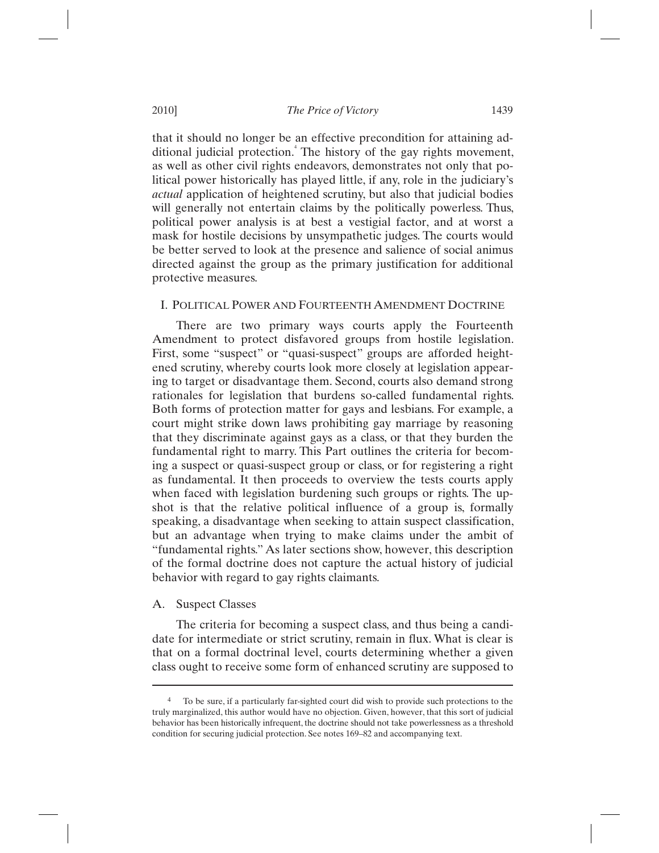that it should no longer be an effective precondition for attaining additional judicial protection.<sup>4</sup> The history of the gay rights movement, as well as other civil rights endeavors, demonstrates not only that political power historically has played little, if any, role in the judiciary's *actual* application of heightened scrutiny, but also that judicial bodies will generally not entertain claims by the politically powerless. Thus, political power analysis is at best a vestigial factor, and at worst a mask for hostile decisions by unsympathetic judges. The courts would be better served to look at the presence and salience of social animus directed against the group as the primary justification for additional protective measures.

## I. POLITICAL POWER AND FOURTEENTH AMENDMENT DOCTRINE

There are two primary ways courts apply the Fourteenth Amendment to protect disfavored groups from hostile legislation. First, some "suspect" or "quasi-suspect" groups are afforded heightened scrutiny, whereby courts look more closely at legislation appearing to target or disadvantage them. Second, courts also demand strong rationales for legislation that burdens so-called fundamental rights. Both forms of protection matter for gays and lesbians. For example, a court might strike down laws prohibiting gay marriage by reasoning that they discriminate against gays as a class, or that they burden the fundamental right to marry. This Part outlines the criteria for becoming a suspect or quasi-suspect group or class, or for registering a right as fundamental. It then proceeds to overview the tests courts apply when faced with legislation burdening such groups or rights. The upshot is that the relative political influence of a group is, formally speaking, a disadvantage when seeking to attain suspect classification, but an advantage when trying to make claims under the ambit of "fundamental rights." As later sections show, however, this description of the formal doctrine does not capture the actual history of judicial behavior with regard to gay rights claimants.

## A. Suspect Classes

 $\overline{a}$ 

The criteria for becoming a suspect class, and thus being a candidate for intermediate or strict scrutiny, remain in flux. What is clear is that on a formal doctrinal level, courts determining whether a given class ought to receive some form of enhanced scrutiny are supposed to

<sup>4</sup> To be sure, if a particularly far-sighted court did wish to provide such protections to the truly marginalized, this author would have no objection. Given, however, that this sort of judicial behavior has been historically infrequent, the doctrine should not take powerlessness as a threshold condition for securing judicial protection. See notes 169–82 and accompanying text.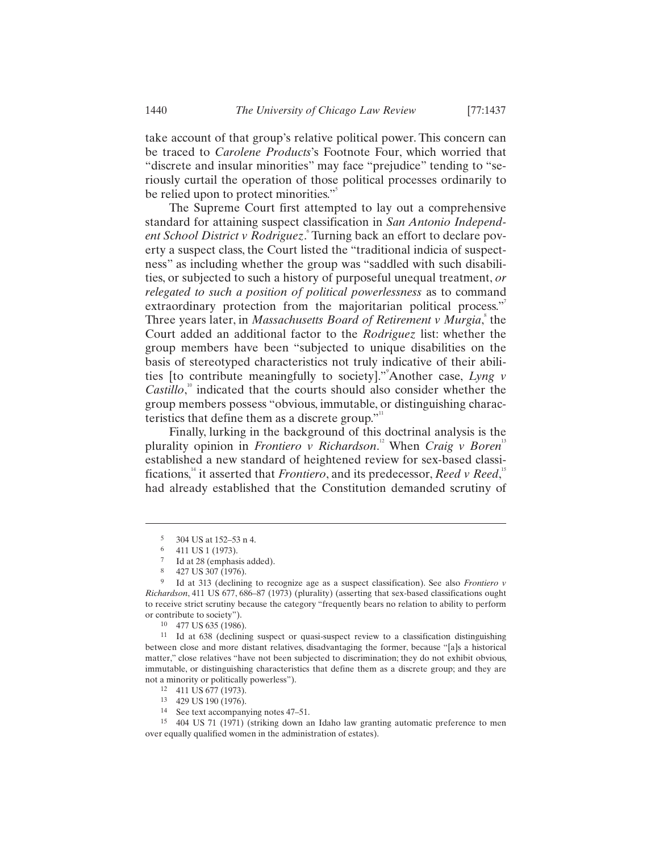take account of that group's relative political power. This concern can be traced to *Carolene Products*'s Footnote Four, which worried that "discrete and insular minorities" may face "prejudice" tending to "seriously curtail the operation of those political processes ordinarily to be relied upon to protect minorities."

The Supreme Court first attempted to lay out a comprehensive standard for attaining suspect classification in *San Antonio Independ*ent School District v Rodriguez. Turning back an effort to declare poverty a suspect class, the Court listed the "traditional indicia of suspectness" as including whether the group was "saddled with such disabilities, or subjected to such a history of purposeful unequal treatment, *or relegated to such a position of political powerlessness* as to command extraordinary protection from the majoritarian political process." Three years later, in *Massachusetts Board of Retirement v Murgia*, <sup>\*</sup> the Court added an additional factor to the *Rodriguez* list: whether the group members have been "subjected to unique disabilities on the basis of stereotyped characteristics not truly indicative of their abilities [to contribute meaningfully to society]."9 Another case, *Lyng v Castillo*,<sup> $\text{10}$ </sup> indicated that the courts should also consider whether the group members possess "obvious, immutable, or distinguishing characteristics that define them as a discrete group." $\cdot$ 

Finally, lurking in the background of this doctrinal analysis is the plurality opinion in *Frontiero v Richardson*.<sup>12</sup> When *Craig v Boren*<sup>13</sup> established a new standard of heightened review for sex-based classifications,<sup>14</sup> it asserted that *Frontiero*, and its predecessor, *Reed v Reed*,<sup>15</sup> had already established that the Constitution demanded scrutiny of

 $\overline{a}$ 

11 Id at 638 (declining suspect or quasi-suspect review to a classification distinguishing between close and more distant relatives, disadvantaging the former, because "[a]s a historical matter," close relatives "have not been subjected to discrimination; they do not exhibit obvious, immutable, or distinguishing characteristics that define them as a discrete group; and they are not a minority or politically powerless").<br><sup>12</sup> 411 US 677 (1973).

13 429 US 190 (1976).

<sup>5 304</sup> US at 152–53 n 4.

<sup>6 411</sup> US 1 (1973).

<sup>7</sup> Id at 28 (emphasis added).

<sup>8 427</sup> US 307 (1976).

<sup>9</sup> Id at 313 (declining to recognize age as a suspect classification). See also *Frontiero v Richardson*, 411 US 677, 686–87 (1973) (plurality) (asserting that sex-based classifications ought to receive strict scrutiny because the category "frequently bears no relation to ability to perform or contribute to society").

<sup>10 477</sup> US 635 (1986).

<sup>14</sup> See text accompanying notes 47–51.

<sup>15 404</sup> US 71 (1971) (striking down an Idaho law granting automatic preference to men over equally qualified women in the administration of estates).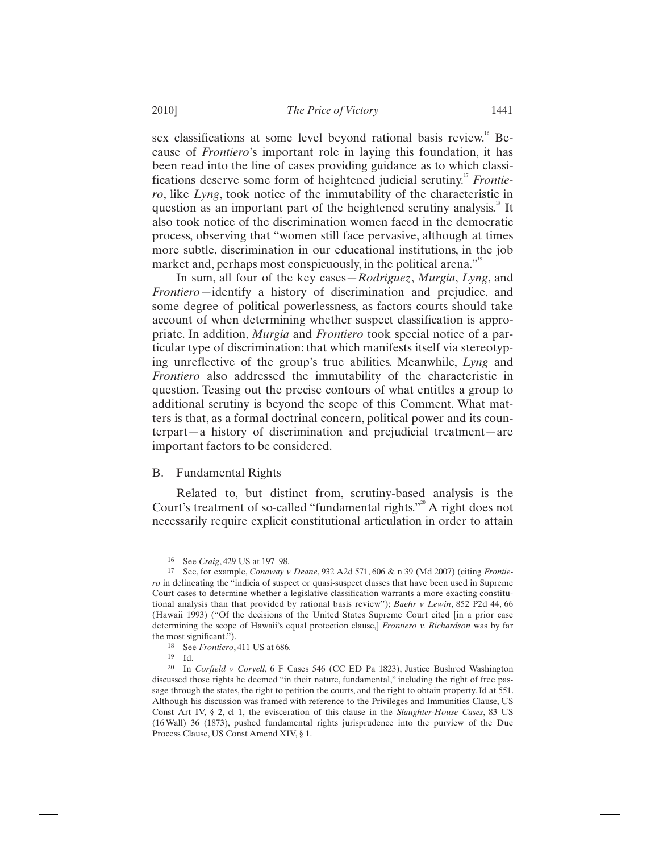sex classifications at some level beyond rational basis review.<sup>16</sup> Because of *Frontiero*'s important role in laying this foundation, it has been read into the line of cases providing guidance as to which classifications deserve some form of heightened judicial scrutiny.<sup>17</sup> *Frontiero*, like *Lyng*, took notice of the immutability of the characteristic in question as an important part of the heightened scrutiny analysis.<sup>18</sup> It also took notice of the discrimination women faced in the democratic process, observing that "women still face pervasive, although at times more subtle, discrimination in our educational institutions, in the job market and, perhaps most conspicuously, in the political arena."<sup>19</sup>

In sum, all four of the key cases—*Rodriguez*, *Murgia*, *Lyng*, and *Frontiero*—identify a history of discrimination and prejudice, and some degree of political powerlessness, as factors courts should take account of when determining whether suspect classification is appropriate. In addition, *Murgia* and *Frontiero* took special notice of a particular type of discrimination: that which manifests itself via stereotyping unreflective of the group's true abilities. Meanwhile, *Lyng* and *Frontiero* also addressed the immutability of the characteristic in question. Teasing out the precise contours of what entitles a group to additional scrutiny is beyond the scope of this Comment. What matters is that, as a formal doctrinal concern, political power and its counterpart—a history of discrimination and prejudicial treatment—are important factors to be considered.

## B. Fundamental Rights

Related to, but distinct from, scrutiny-based analysis is the Court's treatment of so-called "fundamental rights."<sup>20</sup> A right does not necessarily require explicit constitutional articulation in order to attain

<sup>16</sup> See *Craig*, 429 US at 197–98.

<sup>17</sup> See, for example, *Conaway v Deane*, 932 A2d 571, 606 & n 39 (Md 2007) (citing *Frontiero* in delineating the "indicia of suspect or quasi-suspect classes that have been used in Supreme Court cases to determine whether a legislative classification warrants a more exacting constitutional analysis than that provided by rational basis review"); *Baehr v Lewin*, 852 P2d 44, 66 (Hawaii 1993) ("Of the decisions of the United States Supreme Court cited [in a prior case determining the scope of Hawaii's equal protection clause,] *Frontiero v. Richardson* was by far the most significant.").

<sup>18</sup> See *Frontiero*, 411 US at 686.

 $\frac{19}{20}$  Id.

<sup>20</sup> In *Corfield v Coryell*, 6 F Cases 546 (CC ED Pa 1823), Justice Bushrod Washington discussed those rights he deemed "in their nature, fundamental," including the right of free passage through the states, the right to petition the courts, and the right to obtain property. Id at 551. Although his discussion was framed with reference to the Privileges and Immunities Clause, US Const Art IV, § 2, cl 1, the evisceration of this clause in the *Slaughter-House Cases*, 83 US (16 Wall) 36 (1873), pushed fundamental rights jurisprudence into the purview of the Due Process Clause, US Const Amend XIV, § 1.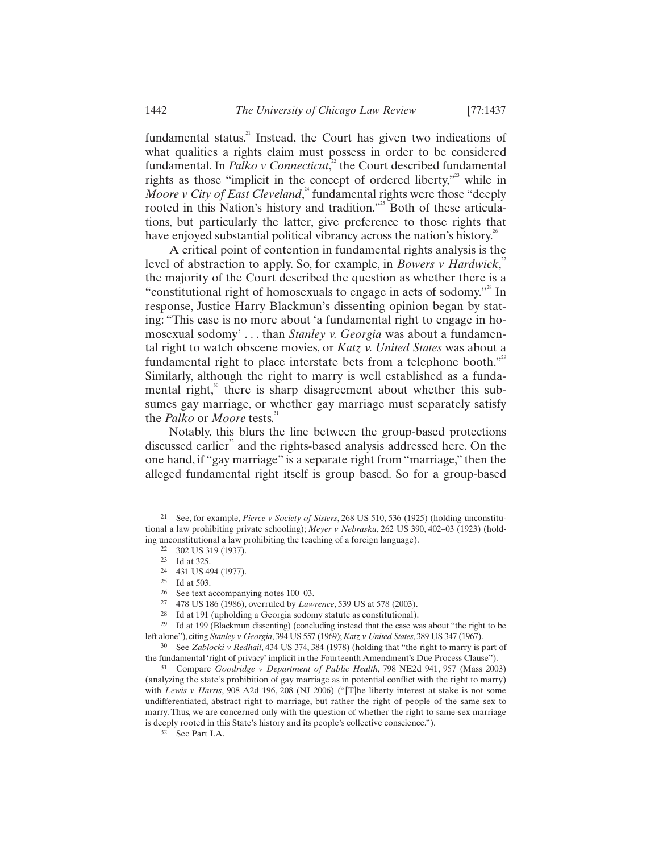fundamental status.<sup>21</sup> Instead, the Court has given two indications of what qualities a rights claim must possess in order to be considered fundamental. In *Palko v Connecticut*,<sup>2</sup> the Court described fundamental rights as those "implicit in the concept of ordered liberty,"<sup>23</sup> while in *Moore v City of East Cleveland*,<sup>24</sup> fundamental rights were those "deeply rooted in this Nation's history and tradition."<sup>25</sup> Both of these articulations, but particularly the latter, give preference to those rights that have enjoyed substantial political vibrancy across the nation's history.<sup>26</sup>

A critical point of contention in fundamental rights analysis is the level of abstraction to apply. So, for example, in *Bowers v Hardwick*,<sup>27</sup> the majority of the Court described the question as whether there is a "constitutional right of homosexuals to engage in acts of sodomy."<sup>28</sup> In response, Justice Harry Blackmun's dissenting opinion began by stating: "This case is no more about 'a fundamental right to engage in homosexual sodomy' . . . than *Stanley v. Georgia* was about a fundamental right to watch obscene movies, or *Katz v. United States* was about a fundamental right to place interstate bets from a telephone booth." $^{29}$ Similarly, although the right to marry is well established as a fundamental right, $3<sup>0</sup>$  there is sharp disagreement about whether this subsumes gay marriage, or whether gay marriage must separately satisfy the *Palko* or *Moore* tests.<sup>31</sup>

Notably, this blurs the line between the group-based protections discussed earlier<sup>32</sup> and the rights-based analysis addressed here. On the one hand, if "gay marriage" is a separate right from "marriage," then the alleged fundamental right itself is group based. So for a group-based

<sup>21</sup> See, for example, *Pierce v Society of Sisters*, 268 US 510, 536 (1925) (holding unconstitutional a law prohibiting private schooling); *Meyer v Nebraska*, 262 US 390, 402–03 (1923) (holding unconstitutional a law prohibiting the teaching of a foreign language).

<sup>22 302</sup> US 319 (1937).

<sup>23</sup> Id at 325.

<sup>24 431</sup> US 494 (1977).

<sup>25</sup> Id at 503.

<sup>&</sup>lt;sup>26</sup> See text accompanying notes  $100-03$ .<br>27 478 US 186 (1986) overruled by *Law*.

<sup>27 478</sup> US 186 (1986), overruled by *Lawrence*, 539 US at 578 (2003).

Id at 191 (upholding a Georgia sodomy statute as constitutional).

<sup>&</sup>lt;sup>29</sup> Id at 199 (Blackmun dissenting) (concluding instead that the case was about "the right to be left alone"), citing *Stanley v Georgia*, 394 US 557 (1969); *Katz v United States*, 389 US 347 (1967).

<sup>30</sup> See *Zablocki v Redhail*, 434 US 374, 384 (1978) (holding that "the right to marry is part of the fundamental 'right of privacy' implicit in the Fourteenth Amendment's Due Process Clause").

<sup>31</sup> Compare *Goodridge v Department of Public Health*, 798 NE2d 941, 957 (Mass 2003) (analyzing the state's prohibition of gay marriage as in potential conflict with the right to marry) with *Lewis v Harris*, 908 A2d 196, 208 (NJ 2006) ("[T]he liberty interest at stake is not some undifferentiated, abstract right to marriage, but rather the right of people of the same sex to marry. Thus, we are concerned only with the question of whether the right to same-sex marriage is deeply rooted in this State's history and its people's collective conscience."). 32 See Part I.A.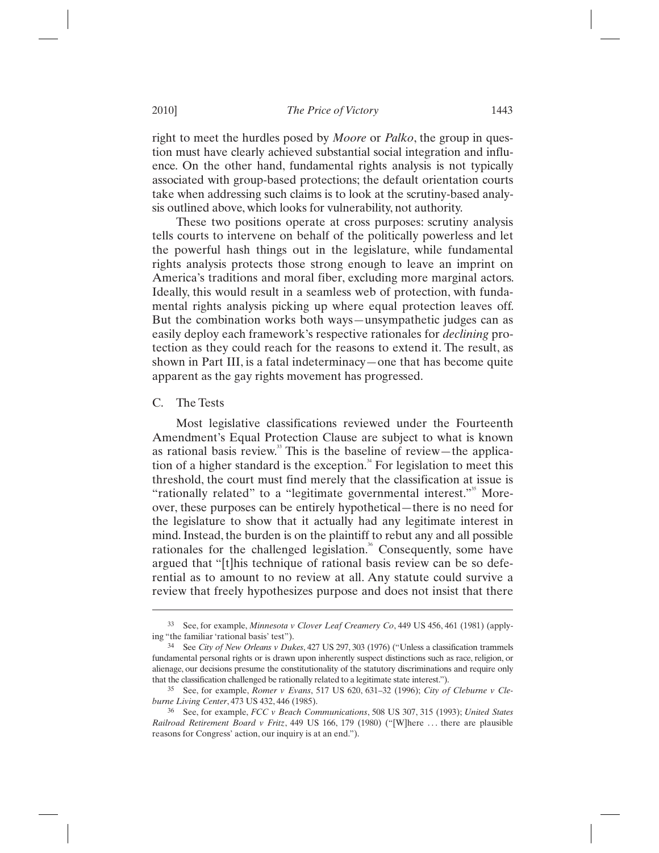right to meet the hurdles posed by *Moore* or *Palko*, the group in question must have clearly achieved substantial social integration and influence. On the other hand, fundamental rights analysis is not typically associated with group-based protections; the default orientation courts take when addressing such claims is to look at the scrutiny-based analysis outlined above, which looks for vulnerability, not authority.

These two positions operate at cross purposes: scrutiny analysis tells courts to intervene on behalf of the politically powerless and let the powerful hash things out in the legislature, while fundamental rights analysis protects those strong enough to leave an imprint on America's traditions and moral fiber, excluding more marginal actors. Ideally, this would result in a seamless web of protection, with fundamental rights analysis picking up where equal protection leaves off. But the combination works both ways—unsympathetic judges can as easily deploy each framework's respective rationales for *declining* protection as they could reach for the reasons to extend it. The result, as shown in Part III, is a fatal indeterminacy—one that has become quite apparent as the gay rights movement has progressed.

## C. The Tests

 $\overline{a}$ 

Most legislative classifications reviewed under the Fourteenth Amendment's Equal Protection Clause are subject to what is known as rational basis review. $\overline{3}$  This is the baseline of review—the application of a higher standard is the exception.<sup>34</sup> For legislation to meet this threshold, the court must find merely that the classification at issue is "rationally related" to a "legitimate governmental interest."<sup>35</sup> Moreover, these purposes can be entirely hypothetical—there is no need for the legislature to show that it actually had any legitimate interest in mind. Instead, the burden is on the plaintiff to rebut any and all possible rationales for the challenged legislation.<sup>36</sup> Consequently, some have argued that "[t]his technique of rational basis review can be so deferential as to amount to no review at all. Any statute could survive a review that freely hypothesizes purpose and does not insist that there

<sup>33</sup> See, for example, *Minnesota v Clover Leaf Creamery Co*, 449 US 456, 461 (1981) (applying "the familiar 'rational basis' test").

<sup>34</sup> See *City of New Orleans v Dukes*, 427 US 297, 303 (1976) ("Unless a classification trammels fundamental personal rights or is drawn upon inherently suspect distinctions such as race, religion, or alienage, our decisions presume the constitutionality of the statutory discriminations and require only that the classification challenged be rationally related to a legitimate state interest.").

<sup>35</sup> See, for example, *Romer v Evans*, 517 US 620, 631–32 (1996); *City of Cleburne v Cleburne Living Center*, 473 US 432, 446 (1985).

<sup>36</sup> See, for example, *FCC v Beach Communications*, 508 US 307, 315 (1993); *United States Railroad Retirement Board v Fritz*, 449 US 166, 179 (1980) ("[W]here ... there are plausible reasons for Congress' action, our inquiry is at an end.").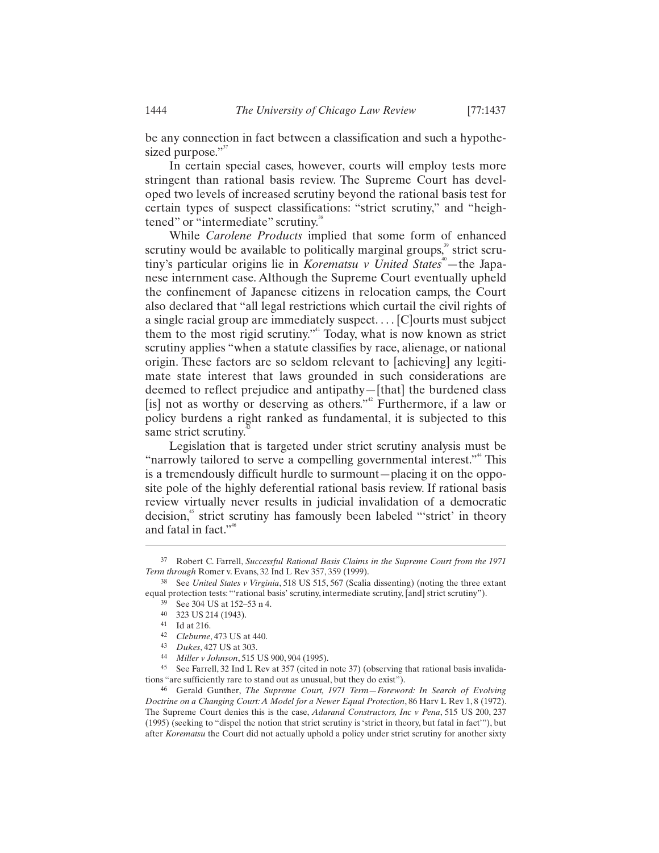be any connection in fact between a classification and such a hypothesized purpose."

In certain special cases, however, courts will employ tests more stringent than rational basis review. The Supreme Court has developed two levels of increased scrutiny beyond the rational basis test for certain types of suspect classifications: "strict scrutiny," and "heightened" or "intermediate" scrutiny.<sup>38</sup>

While *Carolene Products* implied that some form of enhanced scrutiny would be available to politically marginal groups, $\frac{3}{2}$  strict scrutiny's particular origins lie in *Korematsu v United States*<sup>40</sup>—the Japanese internment case. Although the Supreme Court eventually upheld the confinement of Japanese citizens in relocation camps, the Court also declared that "all legal restrictions which curtail the civil rights of a single racial group are immediately suspect. . . . [C]ourts must subject them to the most rigid scrutiny."41 Today, what is now known as strict scrutiny applies "when a statute classifies by race, alienage, or national origin. These factors are so seldom relevant to [achieving] any legitimate state interest that laws grounded in such considerations are deemed to reflect prejudice and antipathy—[that] the burdened class [is] not as worthy or deserving as others.<sup>"\*</sup> Furthermore, if a law or policy burdens a right ranked as fundamental, it is subjected to this same strict scrutiny.<sup>4</sup>

Legislation that is targeted under strict scrutiny analysis must be "narrowly tailored to serve a compelling governmental interest."<sup>44</sup> This is a tremendously difficult hurdle to surmount—placing it on the opposite pole of the highly deferential rational basis review. If rational basis review virtually never results in judicial invalidation of a democratic decision,<sup>45</sup> strict scrutiny has famously been labeled "strict' in theory and fatal in fact."<sup>46</sup>

-

<sup>37</sup> Robert C. Farrell, *Successful Rational Basis Claims in the Supreme Court from the 1971 Term through* Romer v. Evans, 32 Ind L Rev 357, 359 (1999).

<sup>38</sup> See *United States v Virginia*, 518 US 515, 567 (Scalia dissenting) (noting the three extant equal protection tests: "'rational basis' scrutiny, intermediate scrutiny, [and] strict scrutiny").

<sup>39</sup> See 304 US at 152–53 n 4.

<sup>40 323</sup> US 214 (1943).

<sup>41</sup> Id at 216.

<sup>42</sup> *Cleburne*, 473 US at 440.

<sup>43</sup> *Dukes*, 427 US at 303.

<sup>&</sup>lt;sup>45</sup> See Farrell, 32 Ind L Rev at 357 (cited in note 37) (observing that rational basis invalidations "are sufficiently rare to stand out as unusual, but they do exist").

<sup>46</sup> Gerald Gunther, *The Supreme Court, 1971 Term—Foreword: In Search of Evolving Doctrine on a Changing Court: A Model for a Newer Equal Protection*, 86 Harv L Rev 1, 8 (1972). The Supreme Court denies this is the case, *Adarand Constructors, Inc v Pena*, 515 US 200, 237 (1995) (seeking to "dispel the notion that strict scrutiny is 'strict in theory, but fatal in fact'"), but after *Korematsu* the Court did not actually uphold a policy under strict scrutiny for another sixty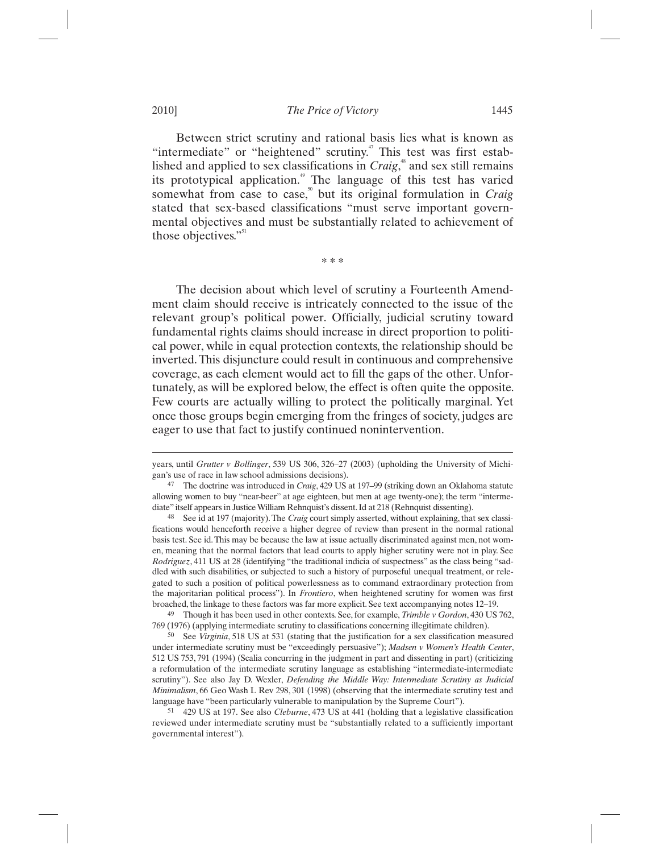Between strict scrutiny and rational basis lies what is known as "intermediate" or "heightened" scrutiny. $\overline{a}$ " This test was first established and applied to sex classifications in *Craig*,<sup>48</sup> and sex still remains its prototypical application.<sup>49</sup> The language of this test has varied somewhat from case to case,<sup>50</sup> but its original formulation in *Craig* stated that sex-based classifications "must serve important governmental objectives and must be substantially related to achievement of those objectives."<sup>51</sup>

\* \* \*

The decision about which level of scrutiny a Fourteenth Amendment claim should receive is intricately connected to the issue of the relevant group's political power. Officially, judicial scrutiny toward fundamental rights claims should increase in direct proportion to political power, while in equal protection contexts, the relationship should be inverted. This disjuncture could result in continuous and comprehensive coverage, as each element would act to fill the gaps of the other. Unfortunately, as will be explored below, the effect is often quite the opposite. Few courts are actually willing to protect the politically marginal. Yet once those groups begin emerging from the fringes of society, judges are eager to use that fact to justify continued nonintervention.

49 Though it has been used in other contexts. See, for example, *Trimble v Gordon*, 430 US 762, 769 (1976) (applying intermediate scrutiny to classifications concerning illegitimate children).

years, until *Grutter v Bollinger*, 539 US 306, 326–27 (2003) (upholding the University of Michigan's use of race in law school admissions decisions).

<sup>47</sup> The doctrine was introduced in *Craig*, 429 US at 197–99 (striking down an Oklahoma statute allowing women to buy "near-beer" at age eighteen, but men at age twenty-one); the term "intermediate" itself appears in Justice William Rehnquist's dissent. Id at 218 (Rehnquist dissenting).

<sup>48</sup> See id at 197 (majority). The *Craig* court simply asserted, without explaining, that sex classifications would henceforth receive a higher degree of review than present in the normal rational basis test. See id. This may be because the law at issue actually discriminated against men, not women, meaning that the normal factors that lead courts to apply higher scrutiny were not in play. See *Rodriguez*, 411 US at 28 (identifying "the traditional indicia of suspectness" as the class being "saddled with such disabilities, or subjected to such a history of purposeful unequal treatment, or relegated to such a position of political powerlessness as to command extraordinary protection from the majoritarian political process"). In *Frontiero*, when heightened scrutiny for women was first broached, the linkage to these factors was far more explicit. See text accompanying notes 12–19.

<sup>50</sup> See *Virginia*, 518 US at 531 (stating that the justification for a sex classification measured under intermediate scrutiny must be "exceedingly persuasive"); *Madsen v Women's Health Center*, 512 US 753, 791 (1994) (Scalia concurring in the judgment in part and dissenting in part) (criticizing a reformulation of the intermediate scrutiny language as establishing "intermediate-intermediate scrutiny"). See also Jay D. Wexler, *Defending the Middle Way: Intermediate Scrutiny as Judicial Minimalism*, 66 Geo Wash L Rev 298, 301 (1998) (observing that the intermediate scrutiny test and language have "been particularly vulnerable to manipulation by the Supreme Court").

<sup>51 429</sup> US at 197. See also *Cleburne*, 473 US at 441 (holding that a legislative classification reviewed under intermediate scrutiny must be "substantially related to a sufficiently important governmental interest").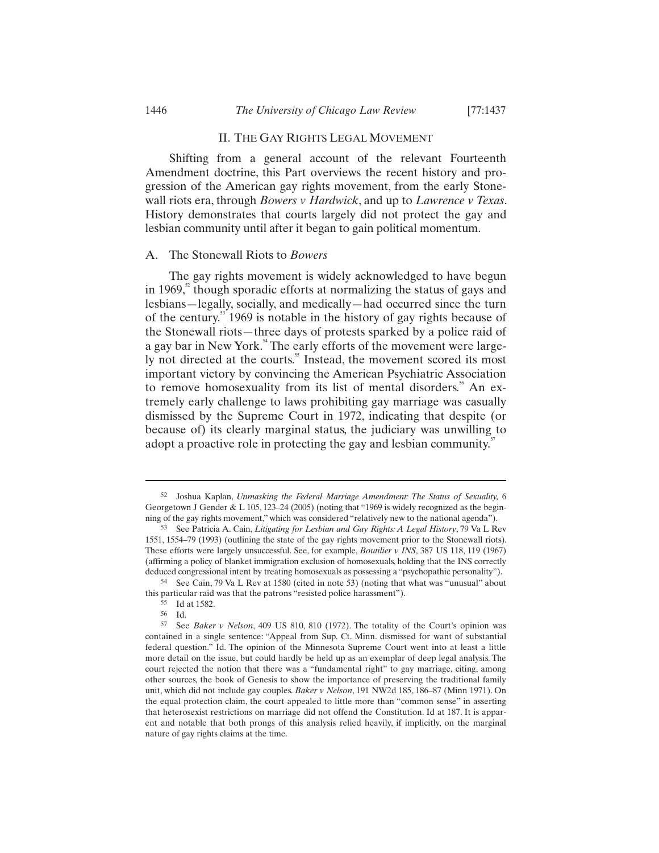## II. THE GAY RIGHTS LEGAL MOVEMENT

Shifting from a general account of the relevant Fourteenth Amendment doctrine, this Part overviews the recent history and progression of the American gay rights movement, from the early Stonewall riots era, through *Bowers v Hardwick*, and up to *Lawrence v Texas*. History demonstrates that courts largely did not protect the gay and lesbian community until after it began to gain political momentum.

#### A. The Stonewall Riots to *Bowers*

The gay rights movement is widely acknowledged to have begun in 1969, $\frac{3}{2}$  though sporadic efforts at normalizing the status of gays and lesbians—legally, socially, and medically—had occurred since the turn of the century.<sup>33</sup> 1969 is notable in the history of gay rights because of the Stonewall riots—three days of protests sparked by a police raid of a gay bar in New York.<sup>54</sup> The early efforts of the movement were largely not directed at the courts.<sup>55</sup> Instead, the movement scored its most important victory by convincing the American Psychiatric Association to remove homosexuality from its list of mental disorders.<sup>86</sup> An extremely early challenge to laws prohibiting gay marriage was casually dismissed by the Supreme Court in 1972, indicating that despite (or because of) its clearly marginal status, the judiciary was unwilling to adopt a proactive role in protecting the gay and lesbian community.<sup>5</sup>

-

<sup>52</sup> Joshua Kaplan, *Unmasking the Federal Marriage Amendment: The Status of Sexuality,* 6 Georgetown J Gender & L 105, 123–24 (2005) (noting that "1969 is widely recognized as the beginning of the gay rights movement," which was considered "relatively new to the national agenda").

<sup>53</sup> See Patricia A. Cain, *Litigating for Lesbian and Gay Rights: A Legal History*, 79 Va L Rev 1551, 1554–79 (1993) (outlining the state of the gay rights movement prior to the Stonewall riots). These efforts were largely unsuccessful. See, for example, *Boutilier v INS*, 387 US 118, 119 (1967) (affirming a policy of blanket immigration exclusion of homosexuals, holding that the INS correctly deduced congressional intent by treating homosexuals as possessing a "psychopathic personality").

<sup>54</sup> See Cain, 79 Va L Rev at 1580 (cited in note 53) (noting that what was "unusual" about this particular raid was that the patrons "resisted police harassment").<br>
<sup>55</sup> Id at 1582.<br>
<sup>56</sup> Id.

Id.

<sup>57</sup> See *Baker v Nelson*, 409 US 810, 810 (1972). The totality of the Court's opinion was contained in a single sentence: "Appeal from Sup. Ct. Minn. dismissed for want of substantial federal question." Id. The opinion of the Minnesota Supreme Court went into at least a little more detail on the issue, but could hardly be held up as an exemplar of deep legal analysis. The court rejected the notion that there was a "fundamental right" to gay marriage, citing, among other sources, the book of Genesis to show the importance of preserving the traditional family unit, which did not include gay couples. *Baker v Nelson*, 191 NW2d 185, 186–87 (Minn 1971). On the equal protection claim, the court appealed to little more than "common sense" in asserting that heterosexist restrictions on marriage did not offend the Constitution. Id at 187. It is apparent and notable that both prongs of this analysis relied heavily, if implicitly, on the marginal nature of gay rights claims at the time.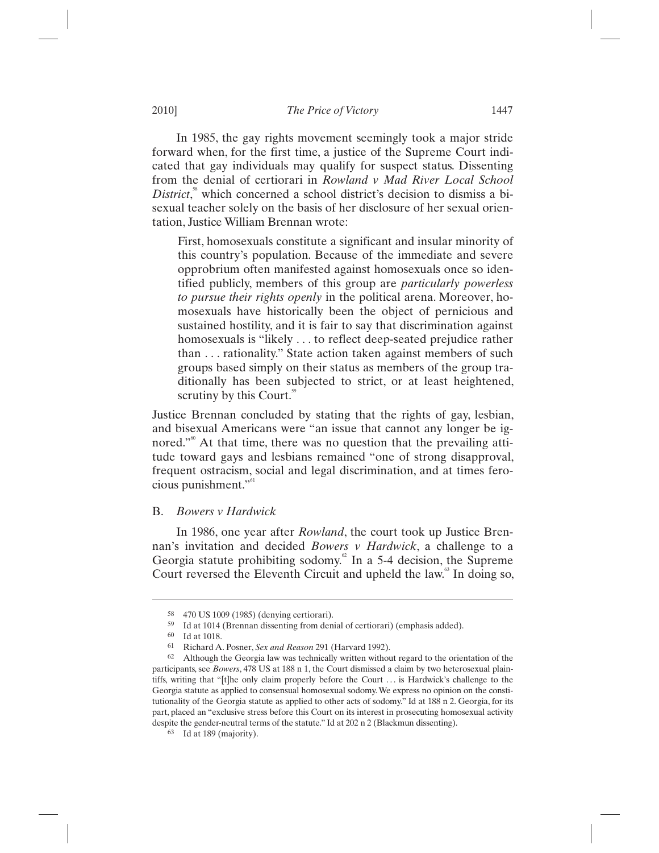In 1985, the gay rights movement seemingly took a major stride forward when, for the first time, a justice of the Supreme Court indicated that gay individuals may qualify for suspect status. Dissenting from the denial of certiorari in *Rowland v Mad River Local School*  District,<sup>58</sup> which concerned a school district's decision to dismiss a bisexual teacher solely on the basis of her disclosure of her sexual orientation, Justice William Brennan wrote:

First, homosexuals constitute a significant and insular minority of this country's population. Because of the immediate and severe opprobrium often manifested against homosexuals once so identified publicly, members of this group are *particularly powerless to pursue their rights openly* in the political arena. Moreover, homosexuals have historically been the object of pernicious and sustained hostility, and it is fair to say that discrimination against homosexuals is "likely . . . to reflect deep-seated prejudice rather than . . . rationality." State action taken against members of such groups based simply on their status as members of the group traditionally has been subjected to strict, or at least heightened, scrutiny by this Court.<sup>59</sup>

Justice Brennan concluded by stating that the rights of gay, lesbian, and bisexual Americans were "an issue that cannot any longer be ignored."<sup>60</sup> At that time, there was no question that the prevailing attitude toward gays and lesbians remained "one of strong disapproval, frequent ostracism, social and legal discrimination, and at times ferocious punishment."<sup>61</sup>

## B. *Bowers v Hardwick*

In 1986, one year after *Rowland*, the court took up Justice Brennan's invitation and decided *Bowers v Hardwick*, a challenge to a Georgia statute prohibiting sodomy.<sup>62</sup> In a 5-4 decision, the Supreme Court reversed the Eleventh Circuit and upheld the law.<sup>63</sup> In doing so,

<sup>58 470</sup> US 1009 (1985) (denying certiorari).

<sup>59</sup> Id at 1014 (Brennan dissenting from denial of certiorari) (emphasis added).

<sup>%</sup> Id at 1018.<br> $61$  Richard A. Posner, *Sex and Reason* 291 (Harvard 1992).

<sup>&</sup>lt;sup>62</sup> Although the Georgia law was technically written without regard to the orientation of the participants, see *Bowers*, 478 US at 188 n 1, the Court dismissed a claim by two heterosexual plaintiffs, writing that "[t]he only claim properly before the Court . . . is Hardwick's challenge to the Georgia statute as applied to consensual homosexual sodomy. We express no opinion on the constitutionality of the Georgia statute as applied to other acts of sodomy." Id at 188 n 2. Georgia, for its part, placed an "exclusive stress before this Court on its interest in prosecuting homosexual activity despite the gender-neutral terms of the statute." Id at 202 n 2 (Blackmun dissenting). 63 Id at 189 (majority).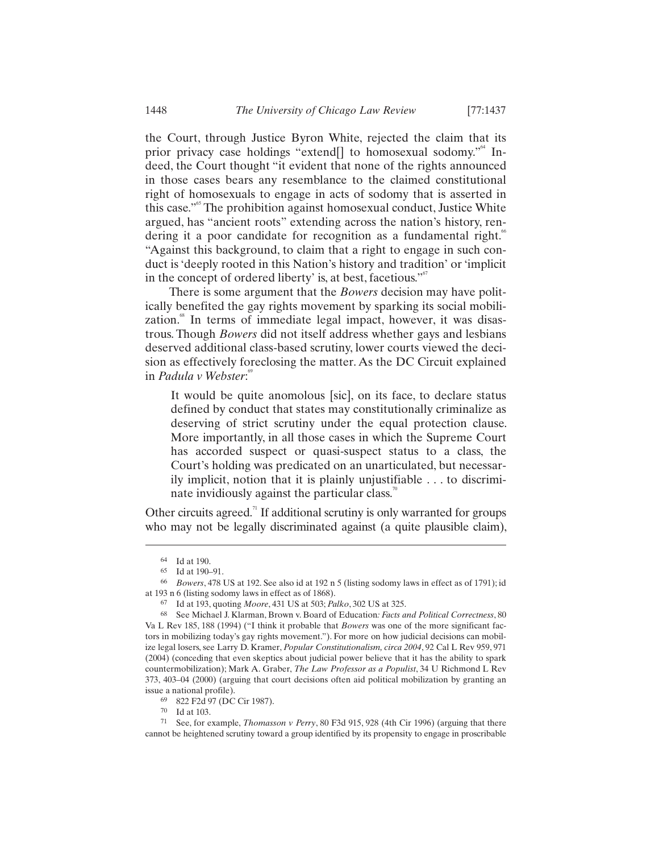the Court, through Justice Byron White, rejected the claim that its prior privacy case holdings "extend[] to homosexual sodomy."64 Indeed, the Court thought "it evident that none of the rights announced in those cases bears any resemblance to the claimed constitutional right of homosexuals to engage in acts of sodomy that is asserted in this case."65 The prohibition against homosexual conduct, Justice White argued, has "ancient roots" extending across the nation's history, rendering it a poor candidate for recognition as a fundamental right.<sup>66</sup> "Against this background, to claim that a right to engage in such conduct is 'deeply rooted in this Nation's history and tradition' or 'implicit in the concept of ordered liberty' is, at best, facetious."<sup>67</sup>

There is some argument that the *Bowers* decision may have politically benefited the gay rights movement by sparking its social mobilization.<sup>8</sup> In terms of immediate legal impact, however, it was disastrous. Though *Bowers* did not itself address whether gays and lesbians deserved additional class-based scrutiny, lower courts viewed the decision as effectively foreclosing the matter. As the DC Circuit explained in *Padula v Webster*:<sup>69</sup>

It would be quite anomolous [sic], on its face, to declare status defined by conduct that states may constitutionally criminalize as deserving of strict scrutiny under the equal protection clause. More importantly, in all those cases in which the Supreme Court has accorded suspect or quasi-suspect status to a class, the Court's holding was predicated on an unarticulated, but necessarily implicit, notion that it is plainly unjustifiable . . . to discriminate invidiously against the particular class.<sup>7</sup>

Other circuits agreed.<sup> $\pi$ </sup> If additional scrutiny is only warranted for groups who may not be legally discriminated against (a quite plausible claim),

-

70 Id at 103.

<sup>64</sup> Id at 190.

<sup>65</sup> Id at 190–91.

<sup>66</sup> *Bowers*, 478 US at 192. See also id at 192 n 5 (listing sodomy laws in effect as of 1791); id at 193 n 6 (listing sodomy laws in effect as of 1868).

<sup>67</sup> Id at 193, quoting *Moore*, 431 US at 503; *Palko*, 302 US at 325.

<sup>68</sup> See Michael J. Klarman, Brown v. Board of Education*: Facts and Political Correctness*, 80 Va L Rev 185, 188 (1994) ("I think it probable that *Bowers* was one of the more significant factors in mobilizing today's gay rights movement."). For more on how judicial decisions can mobilize legal losers, see Larry D. Kramer, *Popular Constitutionalism, circa 2004*, 92 Cal L Rev 959, 971 (2004) (conceding that even skeptics about judicial power believe that it has the ability to spark countermobilization); Mark A. Graber, *The Law Professor as a Populist*, 34 U Richmond L Rev 373, 403–04 (2000) (arguing that court decisions often aid political mobilization by granting an issue a national profile).

<sup>69 822</sup> F2d 97 (DC Cir 1987).

<sup>71</sup> See, for example, *Thomasson v Perry*, 80 F3d 915, 928 (4th Cir 1996) (arguing that there cannot be heightened scrutiny toward a group identified by its propensity to engage in proscribable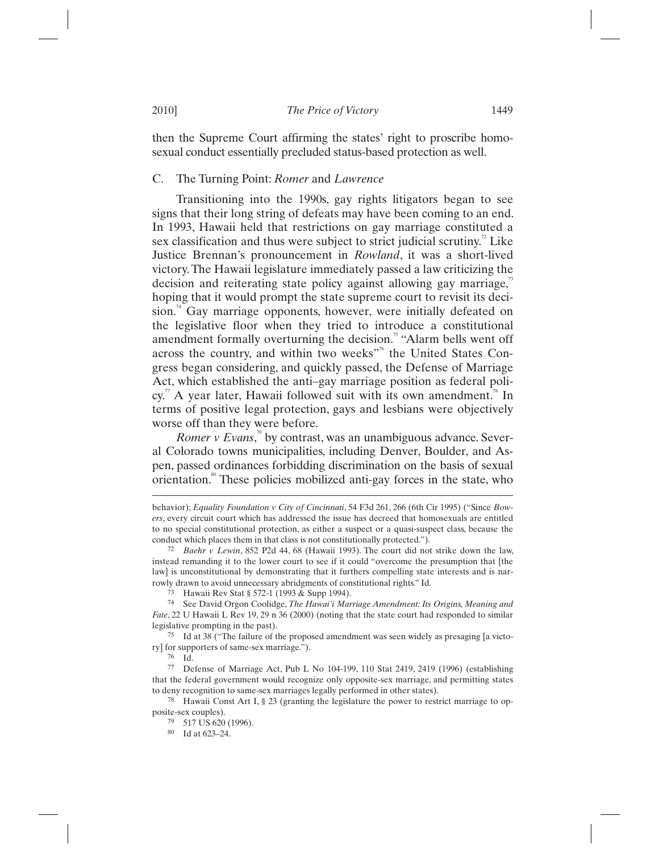then the Supreme Court affirming the states' right to proscribe homosexual conduct essentially precluded status-based protection as well.

#### C. The Turning Point: *Romer* and *Lawrence*

Transitioning into the 1990s, gay rights litigators began to see signs that their long string of defeats may have been coming to an end. In 1993, Hawaii held that restrictions on gay marriage constituted a sex classification and thus were subject to strict judicial scrutiny.<sup>2</sup> Like Justice Brennan's pronouncement in *Rowland*, it was a short-lived victory. The Hawaii legislature immediately passed a law criticizing the decision and reiterating state policy against allowing gay marriage, hoping that it would prompt the state supreme court to revisit its decision.<sup>4</sup> Gay marriage opponents, however, were initially defeated on the legislative floor when they tried to introduce a constitutional amendment formally overturning the decision.<sup>75</sup> "Alarm bells went off across the country, and within two weeks"<sup>6</sup> the United States Congress began considering, and quickly passed, the Defense of Marriage Act, which established the anti–gay marriage position as federal policy." A year later, Hawaii followed suit with its own amendment.<sup>8</sup> In terms of positive legal protection, gays and lesbians were objectively worse off than they were before.

*Romer v Evans*,<sup>79</sup> by contrast, was an unambiguous advance. Several Colorado towns municipalities, including Denver, Boulder, and Aspen, passed ordinances forbidding discrimination on the basis of sexual orientation.<sup>80</sup> These policies mobilized anti-gay forces in the state, who

behavior); *Equality Foundation v City of Cincinnati*, 54 F3d 261, 266 (6th Cir 1995) ("Since *Bowers*, every circuit court which has addressed the issue has decreed that homosexuals are entitled to no special constitutional protection, as either a suspect or a quasi-suspect class, because the conduct which places them in that class is not constitutionally protected.").

<sup>72</sup> *Baehr v Lewin*, 852 P2d 44, 68 (Hawaii 1993). The court did not strike down the law, instead remanding it to the lower court to see if it could "overcome the presumption that [the law] is unconstitutional by demonstrating that it furthers compelling state interests and is narrowly drawn to avoid unnecessary abridgments of constitutional rights." Id. 73 Hawaii Rev Stat § 572-1 (1993 & Supp 1994).

<sup>74</sup> See David Orgon Coolidge, *The Hawai'i Marriage Amendment: Its Origins, Meaning and Fate*, 22 U Hawaii L Rev 19, 29 n 36 (2000) (noting that the state court had responded to similar legislative prompting in the past).

<sup>75</sup> Id at 38 ("The failure of the proposed amendment was seen widely as presaging [a victory] for supporters of same-sex marriage.").<br>
76 Id.

<sup>77</sup> Defense of Marriage Act, Pub L No 104-199, 110 Stat 2419, 2419 (1996) (establishing that the federal government would recognize only opposite-sex marriage, and permitting states to deny recognition to same-sex marriages legally performed in other states).<br><sup>78</sup> Hawaii Const Art I, § 23 (granting the legislature the power to restrict marriage to op-

posite-sex couples).

<sup>79 517</sup> US 620 (1996).

<sup>80</sup> Id at 623–24.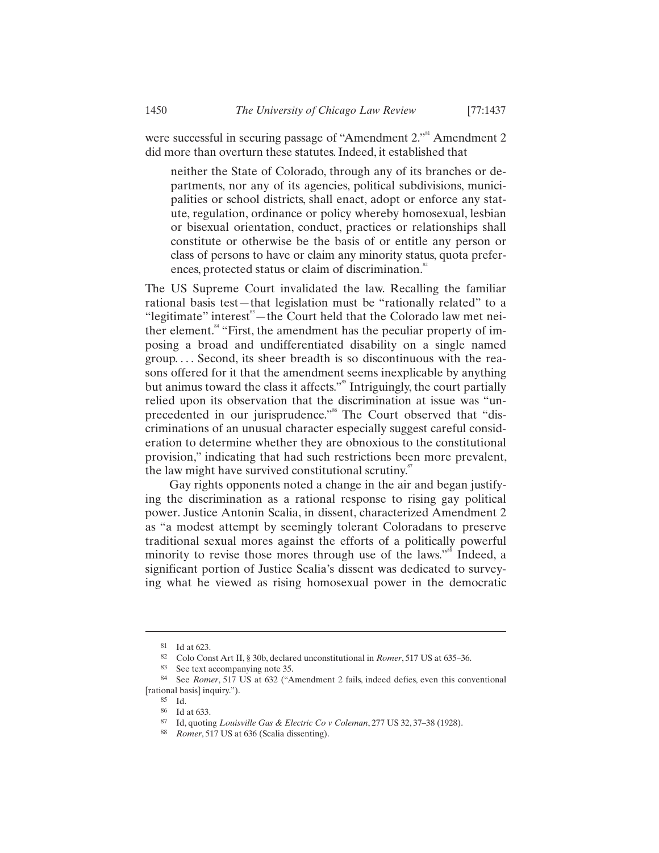were successful in securing passage of "Amendment 2."<sup>81</sup> Amendment 2 did more than overturn these statutes. Indeed, it established that

neither the State of Colorado, through any of its branches or departments, nor any of its agencies, political subdivisions, municipalities or school districts, shall enact, adopt or enforce any statute, regulation, ordinance or policy whereby homosexual, lesbian or bisexual orientation, conduct, practices or relationships shall constitute or otherwise be the basis of or entitle any person or class of persons to have or claim any minority status, quota preferences, protected status or claim of discrimination.<sup>82</sup>

The US Supreme Court invalidated the law. Recalling the familiar rational basis test—that legislation must be "rationally related" to a "legitimate" interest $\mathbf{S}^{\text{a}}$  —the Court held that the Colorado law met neither element.<sup>84</sup> "First, the amendment has the peculiar property of imposing a broad and undifferentiated disability on a single named group. . . . Second, its sheer breadth is so discontinuous with the reasons offered for it that the amendment seems inexplicable by anything but animus toward the class it affects."<sup>85</sup> Intriguingly, the court partially relied upon its observation that the discrimination at issue was "unprecedented in our jurisprudence."<sup>86</sup> The Court observed that "discriminations of an unusual character especially suggest careful consideration to determine whether they are obnoxious to the constitutional provision," indicating that had such restrictions been more prevalent, the law might have survived constitutional scrutiny.<sup>87</sup>

Gay rights opponents noted a change in the air and began justifying the discrimination as a rational response to rising gay political power. Justice Antonin Scalia, in dissent, characterized Amendment 2 as "a modest attempt by seemingly tolerant Coloradans to preserve traditional sexual mores against the efforts of a politically powerful minority to revise those mores through use of the laws."<sup>88</sup> Indeed, a significant portion of Justice Scalia's dissent was dedicated to surveying what he viewed as rising homosexual power in the democratic

<sup>81</sup> Id at 623.

<sup>82</sup> Colo Const Art II, § 30b, declared unconstitutional in *Romer*, 517 US at 635–36.

<sup>83</sup> See text accompanying note 35.

<sup>84</sup> See *Romer*, 517 US at 632 ("Amendment 2 fails, indeed defies, even this conventional [rational basis] inquiry.").

<sup>85</sup> Id.

<sup>86</sup> Id at 633.

<sup>87</sup> Id, quoting *Louisville Gas & Electric Co v Coleman*, 277 US 32, 37–38 (1928). 88 *Romer*, 517 US at 636 (Scalia dissenting).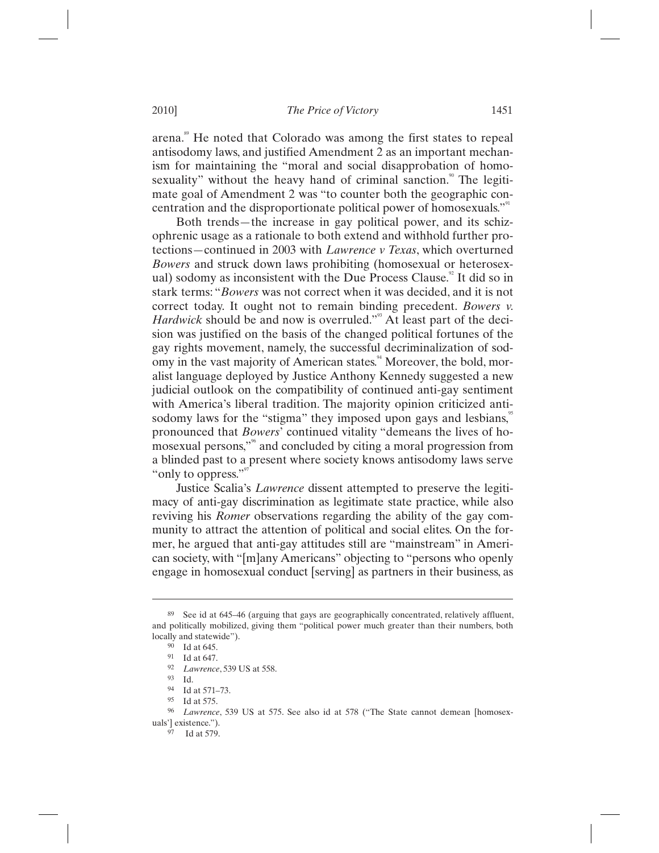arena.<sup>89</sup> He noted that Colorado was among the first states to repeal antisodomy laws, and justified Amendment 2 as an important mechanism for maintaining the "moral and social disapprobation of homosexuality" without the heavy hand of criminal sanction.<sup>90</sup> The legitimate goal of Amendment 2 was "to counter both the geographic concentration and the disproportionate political power of homosexuals."<sup>91</sup>

Both trends—the increase in gay political power, and its schizophrenic usage as a rationale to both extend and withhold further protections—continued in 2003 with *Lawrence v Texas*, which overturned *Bowers* and struck down laws prohibiting (homosexual or heterosexual) sodomy as inconsistent with the Due Process Clause.<sup>92</sup> It did so in stark terms: "*Bowers* was not correct when it was decided, and it is not correct today. It ought not to remain binding precedent. *Bowers v. Hardwick* should be and now is overruled."<sup>33</sup> At least part of the decision was justified on the basis of the changed political fortunes of the gay rights movement, namely, the successful decriminalization of sodomy in the vast majority of American states.<sup>44</sup> Moreover, the bold, moralist language deployed by Justice Anthony Kennedy suggested a new judicial outlook on the compatibility of continued anti-gay sentiment with America's liberal tradition. The majority opinion criticized antisodomy laws for the "stigma" they imposed upon gays and lesbians," pronounced that *Bowers*' continued vitality "demeans the lives of homosexual persons,"96 and concluded by citing a moral progression from a blinded past to a present where society knows antisodomy laws serve "only to oppress."

Justice Scalia's *Lawrence* dissent attempted to preserve the legitimacy of anti-gay discrimination as legitimate state practice, while also reviving his *Romer* observations regarding the ability of the gay community to attract the attention of political and social elites. On the former, he argued that anti-gay attitudes still are "mainstream" in American society, with "[m]any Americans" objecting to "persons who openly engage in homosexual conduct [serving] as partners in their business, as

<sup>89</sup> See id at 645–46 (arguing that gays are geographically concentrated, relatively affluent, and politically mobilized, giving them "political power much greater than their numbers, both locally and statewide").

<sup>90</sup> Id at 645.

<sup>91</sup> Id at 647.

<sup>92</sup> *Lawrence*, 539 US at 558. 93 Id.

 $^{94}$  Id at 571–73.<br>  $^{95}$  Id at 575

Id at 575.

Lawrence, 539 US at 575. See also id at 578 ("The State cannot demean [homosexuals'] existence.").<br><sup>97</sup> Id at 579.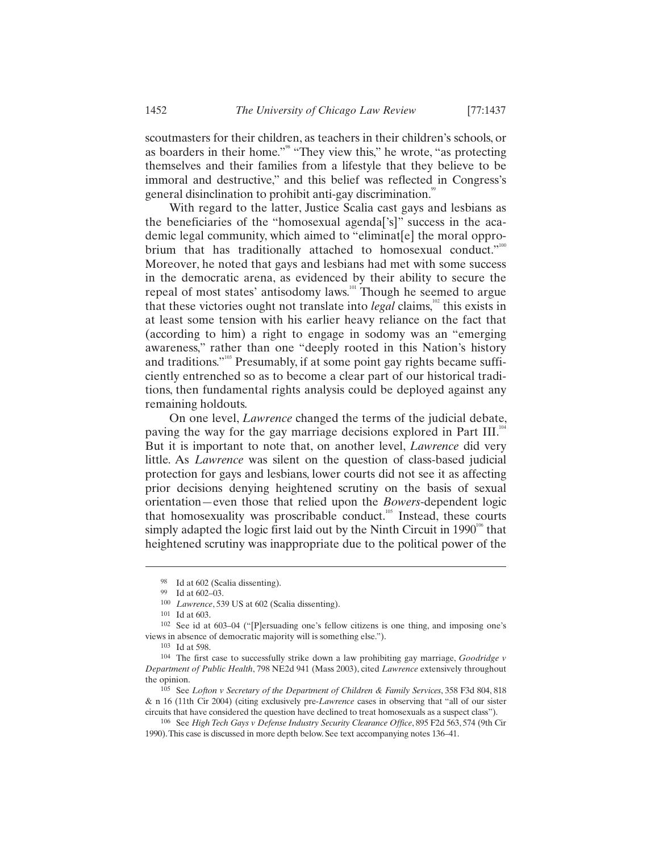scoutmasters for their children, as teachers in their children's schools, or as boarders in their home."98 "They view this," he wrote, "as protecting themselves and their families from a lifestyle that they believe to be immoral and destructive," and this belief was reflected in Congress's general disinclination to prohibit anti-gay discrimination.<sup>99</sup>

With regard to the latter, Justice Scalia cast gays and lesbians as the beneficiaries of the "homosexual agenda['s]" success in the academic legal community, which aimed to "eliminat[e] the moral opprobrium that has traditionally attached to homosexual conduct."<sup>100</sup> Moreover, he noted that gays and lesbians had met with some success in the democratic arena, as evidenced by their ability to secure the repeal of most states' antisodomy laws.<sup>101</sup> Though he seemed to argue that these victories ought not translate into *legal* claims,<sup>102</sup> this exists in at least some tension with his earlier heavy reliance on the fact that (according to him) a right to engage in sodomy was an "emerging awareness," rather than one "deeply rooted in this Nation's history and traditions."<sup>103</sup> Presumably, if at some point gay rights became sufficiently entrenched so as to become a clear part of our historical traditions, then fundamental rights analysis could be deployed against any remaining holdouts.

On one level, *Lawrence* changed the terms of the judicial debate, paving the way for the gay marriage decisions explored in Part  $III$ .<sup>10</sup> But it is important to note that, on another level, *Lawrence* did very little. As *Lawrence* was silent on the question of class-based judicial protection for gays and lesbians, lower courts did not see it as affecting prior decisions denying heightened scrutiny on the basis of sexual orientation—even those that relied upon the *Bowers*-dependent logic that homosexuality was proscribable conduct.<sup>105</sup> Instead, these courts simply adapted the logic first laid out by the Ninth Circuit in  $1990<sup>106</sup>$  that heightened scrutiny was inappropriate due to the political power of the

<sup>&</sup>lt;sup>98</sup> Id at 602 (Scalia dissenting).<br><sup>99</sup> Id at 602–03.

<sup>100</sup> *Lawrence*, 539 US at 602 (Scalia dissenting).

 $102$  See id at 603–04 ("[P]ersuading one's fellow citizens is one thing, and imposing one's views in absence of democratic majority will is something else.").<br><sup>103</sup> Id at 598.

<sup>&</sup>lt;sup>104</sup> The first case to successfully strike down a law prohibiting gay marriage, *Goodridge v Department of Public Health*, 798 NE2d 941 (Mass 2003), cited *Lawrence* extensively throughout the opinion. 105 See *Lofton v Secretary of the Department of Children & Family Services*, 358 F3d 804, 818

<sup>&</sup>amp; n 16 (11th Cir 2004) (citing exclusively pre-*Lawrence* cases in observing that "all of our sister circuits that have considered the question have declined to treat homosexuals as a suspect class").

<sup>106</sup> See *High Tech Gays v Defense Industry Security Clearance Office*, 895 F2d 563, 574 (9th Cir 1990). This case is discussed in more depth below. See text accompanying notes 136–41.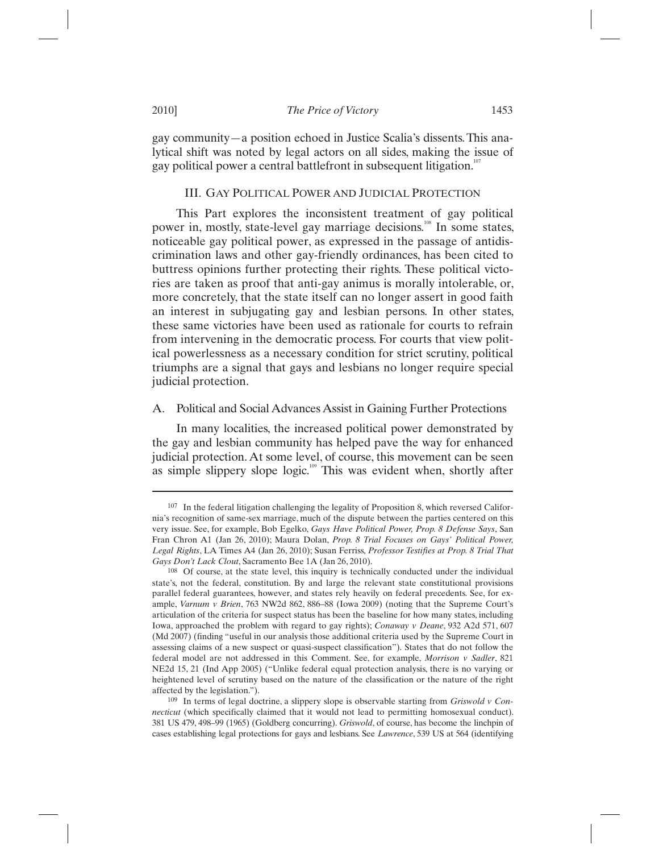gay community—a position echoed in Justice Scalia's dissents. This analytical shift was noted by legal actors on all sides, making the issue of gay political power a central battlefront in subsequent litigation.<sup>107</sup>

#### III. GAY POLITICAL POWER AND JUDICIAL PROTECTION

This Part explores the inconsistent treatment of gay political power in, mostly, state-level gay marriage decisions.<sup>108</sup> In some states, noticeable gay political power, as expressed in the passage of antidiscrimination laws and other gay-friendly ordinances, has been cited to buttress opinions further protecting their rights. These political victories are taken as proof that anti-gay animus is morally intolerable, or, more concretely, that the state itself can no longer assert in good faith an interest in subjugating gay and lesbian persons. In other states, these same victories have been used as rationale for courts to refrain from intervening in the democratic process. For courts that view political powerlessness as a necessary condition for strict scrutiny, political triumphs are a signal that gays and lesbians no longer require special judicial protection.

## A. Political and Social Advances Assist in Gaining Further Protections

In many localities, the increased political power demonstrated by the gay and lesbian community has helped pave the way for enhanced judicial protection. At some level, of course, this movement can be seen as simple slippery slope logic.<sup>109</sup> This was evident when, shortly after

<sup>107</sup> In the federal litigation challenging the legality of Proposition 8, which reversed California's recognition of same-sex marriage, much of the dispute between the parties centered on this very issue. See, for example, Bob Egelko, *Gays Have Political Power, Prop. 8 Defense Says*, San Fran Chron A1 (Jan 26, 2010); Maura Dolan, *Prop. 8 Trial Focuses on Gays' Political Power, Legal Rights*, LA Times A4 (Jan 26, 2010); Susan Ferriss, *Professor Testifies at Prop. 8 Trial That Gays Don't Lack Clout*, Sacramento Bee 1A (Jan 26, 2010).<br><sup>108</sup> Of course, at the state level, this inquiry is technically conducted under the individual

state's, not the federal, constitution. By and large the relevant state constitutional provisions parallel federal guarantees, however, and states rely heavily on federal precedents. See, for example, *Varnum v Brien*, 763 NW2d 862, 886–88 (Iowa 2009) (noting that the Supreme Court's articulation of the criteria for suspect status has been the baseline for how many states, including Iowa, approached the problem with regard to gay rights); *Conaway v Deane*, 932 A2d 571, 607 (Md 2007) (finding "useful in our analysis those additional criteria used by the Supreme Court in assessing claims of a new suspect or quasi-suspect classification"). States that do not follow the federal model are not addressed in this Comment. See, for example, *Morrison v Sadler*, 821 NE2d 15, 21 (Ind App 2005) ("Unlike federal equal protection analysis, there is no varying or heightened level of scrutiny based on the nature of the classification or the nature of the right affected by the legislation."). 109 In terms of legal doctrine, a slippery slope is observable starting from *Griswold v Con-*

*necticut* (which specifically claimed that it would not lead to permitting homosexual conduct). 381 US 479, 498–99 (1965) (Goldberg concurring). *Griswold*, of course, has become the linchpin of cases establishing legal protections for gays and lesbians. See *Lawrence*, 539 US at 564 (identifying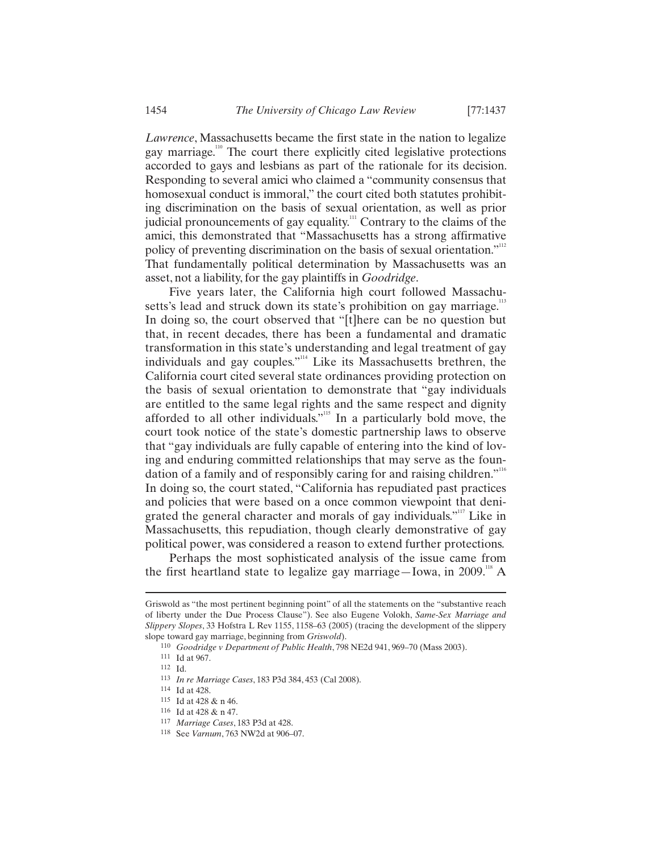*Lawrence*, Massachusetts became the first state in the nation to legalize gay marriage.110 The court there explicitly cited legislative protections accorded to gays and lesbians as part of the rationale for its decision. Responding to several amici who claimed a "community consensus that homosexual conduct is immoral," the court cited both statutes prohibiting discrimination on the basis of sexual orientation, as well as prior judicial pronouncements of gay equality.<sup>111</sup> Contrary to the claims of the amici, this demonstrated that "Massachusetts has a strong affirmative policy of preventing discrimination on the basis of sexual orientation."<sup>112</sup> That fundamentally political determination by Massachusetts was an asset, not a liability, for the gay plaintiffs in *Goodridge*.

Five years later, the California high court followed Massachusetts's lead and struck down its state's prohibition on gay marriage.<sup>113</sup> In doing so, the court observed that "[t]here can be no question but that, in recent decades, there has been a fundamental and dramatic transformation in this state's understanding and legal treatment of gay individuals and gay couples."114 Like its Massachusetts brethren, the California court cited several state ordinances providing protection on the basis of sexual orientation to demonstrate that "gay individuals are entitled to the same legal rights and the same respect and dignity afforded to all other individuals."115 In a particularly bold move, the court took notice of the state's domestic partnership laws to observe that "gay individuals are fully capable of entering into the kind of loving and enduring committed relationships that may serve as the foundation of a family and of responsibly caring for and raising children."<sup>116</sup> In doing so, the court stated, "California has repudiated past practices and policies that were based on a once common viewpoint that denigrated the general character and morals of gay individuals."<sup>117</sup> Like in Massachusetts, this repudiation, though clearly demonstrative of gay political power, was considered a reason to extend further protections.

Perhaps the most sophisticated analysis of the issue came from the first heartland state to legalize gay marriage—Iowa, in  $2009$ .<sup>118</sup> A

Griswold as "the most pertinent beginning point" of all the statements on the "substantive reach of liberty under the Due Process Clause"). See also Eugene Volokh, *Same-Sex Marriage and Slippery Slopes*, 33 Hofstra L Rev 1155, 1158–63 (2005) (tracing the development of the slippery slope toward gay marriage, beginning from *Griswold*).

<sup>110</sup> *Goodridge v Department of Public Health*, 798 NE2d 941, 969–70 (Mass 2003). 111 Id at 967.

<sup>112</sup> Id. 113 *In re Marriage Cases*, 183 P3d 384, 453 (Cal 2008).

<sup>115</sup> Id at 428 & n 46.<br>116 Id at 428 & n 47.

<sup>116</sup> Id at 428 & n 47. 117 *Marriage Cases*, 183 P3d at 428. 118 See *Varnum*, 763 NW2d at 906–07.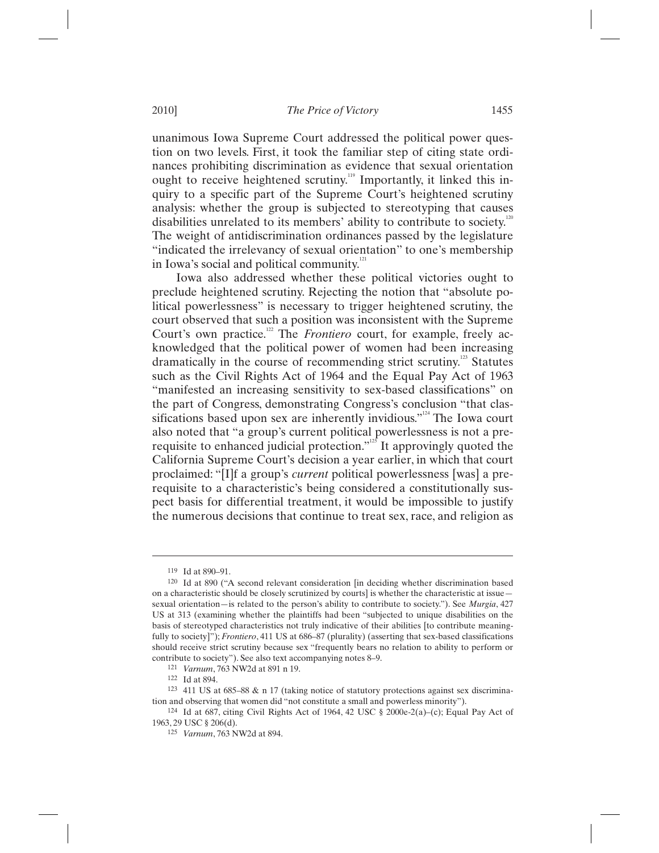unanimous Iowa Supreme Court addressed the political power question on two levels. First, it took the familiar step of citing state ordinances prohibiting discrimination as evidence that sexual orientation ought to receive heightened scrutiny.<sup>119</sup> Importantly, it linked this inquiry to a specific part of the Supreme Court's heightened scrutiny analysis: whether the group is subjected to stereotyping that causes disabilities unrelated to its members' ability to contribute to society.<sup>120</sup> The weight of antidiscrimination ordinances passed by the legislature "indicated the irrelevancy of sexual orientation" to one's membership in Iowa's social and political community.<sup>121</sup>

Iowa also addressed whether these political victories ought to preclude heightened scrutiny. Rejecting the notion that "absolute political powerlessness" is necessary to trigger heightened scrutiny, the court observed that such a position was inconsistent with the Supreme Court's own practice.<sup>122</sup> The *Frontiero* court, for example, freely acknowledged that the political power of women had been increasing dramatically in the course of recommending strict scrutiny.<sup>123</sup> Statutes such as the Civil Rights Act of 1964 and the Equal Pay Act of 1963 "manifested an increasing sensitivity to sex-based classifications" on the part of Congress, demonstrating Congress's conclusion "that classifications based upon sex are inherently invidious."<sup>124</sup> The Iowa court also noted that "a group's current political powerlessness is not a prerequisite to enhanced judicial protection."<sup>125</sup> It approvingly quoted the California Supreme Court's decision a year earlier, in which that court proclaimed: "[I]f a group's *current* political powerlessness [was] a prerequisite to a characteristic's being considered a constitutionally suspect basis for differential treatment, it would be impossible to justify the numerous decisions that continue to treat sex, race, and religion as

<sup>119</sup> Id at 890–91.<br><sup>120</sup> Id at 890 ("A second relevant consideration [in deciding whether discrimination based on a characteristic should be closely scrutinized by courts] is whether the characteristic at issue sexual orientation—is related to the person's ability to contribute to society."). See *Murgia*, 427 US at 313 (examining whether the plaintiffs had been "subjected to unique disabilities on the basis of stereotyped characteristics not truly indicative of their abilities [to contribute meaningfully to society]"); *Frontiero*, 411 US at 686–87 (plurality) (asserting that sex-based classifications should receive strict scrutiny because sex "frequently bears no relation to ability to perform or contribute to society"). See also text accompanying notes 8–9.<br>
<sup>121</sup> *Varnum*, 763 NW2d at 891 n 19.<br>
<sup>122</sup> Id at 894.<br>
<sup>123</sup> 411 US at 685–88 & n 17 (taking notice of statutory protections against sex discrimina-

tion and observing that women did "not constitute a small and powerless minority").

<sup>124</sup> Id at 687, citing Civil Rights Act of 1964, 42 USC § 2000e-2(a)–(c); Equal Pay Act of 1963, 29 USC § 206(d). 125 *Varnum*, 763 NW2d at 894.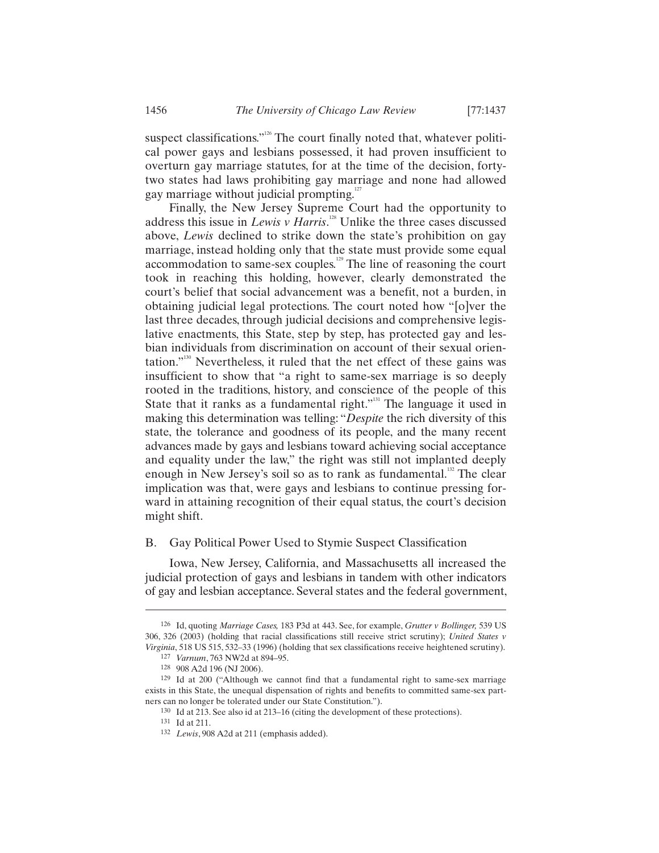suspect classifications."<sup>126</sup> The court finally noted that, whatever political power gays and lesbians possessed, it had proven insufficient to overturn gay marriage statutes, for at the time of the decision, fortytwo states had laws prohibiting gay marriage and none had allowed gay marriage without judicial prompting. $127$ 

Finally, the New Jersey Supreme Court had the opportunity to address this issue in *Lewis v Harris*. 128 Unlike the three cases discussed above, *Lewis* declined to strike down the state's prohibition on gay marriage, instead holding only that the state must provide some equal accommodation to same-sex couples.<sup>129</sup> The line of reasoning the court took in reaching this holding, however, clearly demonstrated the court's belief that social advancement was a benefit, not a burden, in obtaining judicial legal protections. The court noted how "[o]ver the last three decades, through judicial decisions and comprehensive legislative enactments, this State, step by step, has protected gay and lesbian individuals from discrimination on account of their sexual orientation."<sup>130</sup> Nevertheless, it ruled that the net effect of these gains was insufficient to show that "a right to same-sex marriage is so deeply rooted in the traditions, history, and conscience of the people of this State that it ranks as a fundamental right."<sup>131</sup> The language it used in making this determination was telling: "*Despite* the rich diversity of this state, the tolerance and goodness of its people, and the many recent advances made by gays and lesbians toward achieving social acceptance and equality under the law," the right was still not implanted deeply enough in New Jersey's soil so as to rank as fundamental.<sup>132</sup> The clear implication was that, were gays and lesbians to continue pressing forward in attaining recognition of their equal status, the court's decision might shift.

## B. Gay Political Power Used to Stymie Suspect Classification

Iowa, New Jersey, California, and Massachusetts all increased the judicial protection of gays and lesbians in tandem with other indicators of gay and lesbian acceptance. Several states and the federal government,

-

<sup>126</sup> Id, quoting *Marriage Cases,* 183 P3d at 443. See, for example, *Grutter v Bollinger,* 539 US 306, 326 (2003) (holding that racial classifications still receive strict scrutiny); *United States v Virginia*, 518 US 515, 532–33 (1996) (holding that sex classifications receive heightened scrutiny).

<sup>&</sup>lt;sup>128</sup> 908 A2d 196 (NJ 2006).<br><sup>129</sup> Id at 200 ("Although we cannot find that a fundamental right to same-sex marriage exists in this State, the unequal dispensation of rights and benefits to committed same-sex partners can no longer be tolerated under our State Constitution.").

<sup>&</sup>lt;sup>130</sup> Id at 213. See also id at 213–16 (citing the development of these protections).<br><sup>131</sup> Id at 211.

<sup>&</sup>lt;sup>132</sup> *Lewis*, 908 A2d at 211 (emphasis added).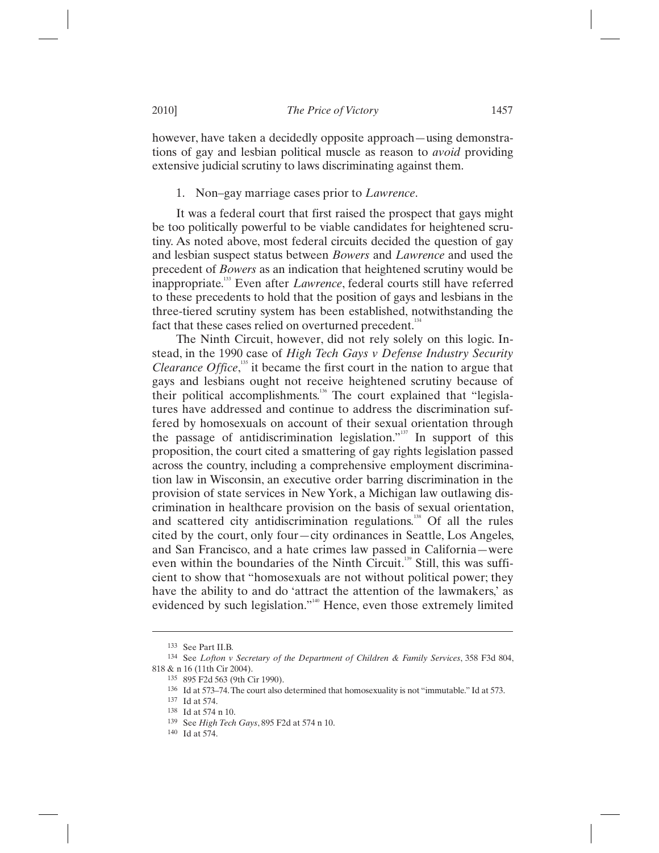however, have taken a decidedly opposite approach—using demonstrations of gay and lesbian political muscle as reason to *avoid* providing extensive judicial scrutiny to laws discriminating against them.

## 1. Non–gay marriage cases prior to *Lawrence*.

It was a federal court that first raised the prospect that gays might be too politically powerful to be viable candidates for heightened scrutiny. As noted above, most federal circuits decided the question of gay and lesbian suspect status between *Bowers* and *Lawrence* and used the precedent of *Bowers* as an indication that heightened scrutiny would be inappropriate.133 Even after *Lawrence*, federal courts still have referred to these precedents to hold that the position of gays and lesbians in the three-tiered scrutiny system has been established, notwithstanding the fact that these cases relied on overturned precedent.<sup>134</sup>

The Ninth Circuit, however, did not rely solely on this logic. Instead, in the 1990 case of *High Tech Gays v Defense Industry Security Clearance Office*,<sup>135</sup> it became the first court in the nation to argue that gays and lesbians ought not receive heightened scrutiny because of their political accomplishments.<sup>136</sup> The court explained that "legislatures have addressed and continue to address the discrimination suffered by homosexuals on account of their sexual orientation through the passage of antidiscrimination legislation."<sup>137</sup> In support of this proposition, the court cited a smattering of gay rights legislation passed across the country, including a comprehensive employment discrimination law in Wisconsin, an executive order barring discrimination in the provision of state services in New York, a Michigan law outlawing discrimination in healthcare provision on the basis of sexual orientation, and scattered city antidiscrimination regulations.<sup>138</sup> Of all the rules cited by the court, only four—city ordinances in Seattle, Los Angeles, and San Francisco, and a hate crimes law passed in California—were even within the boundaries of the Ninth Circuit.<sup>139</sup> Still, this was sufficient to show that "homosexuals are not without political power; they have the ability to and do 'attract the attention of the lawmakers,' as evidenced by such legislation."<sup>140</sup> Hence, even those extremely limited

<sup>133</sup> See Part II.B. 134 See *Lofton v Secretary of the Department of Children & Family Services*, 358 F3d 804, 818 & n 16 (11th Cir 2004).

<sup>135 895</sup> F2d 563 (9th Cir 1990).

<sup>&</sup>lt;sup>136</sup> Id at 573–74. The court also determined that homosexuality is not "immutable." Id at 573.<br><sup>137</sup> Id at 574.<br><sup>138</sup> Id at 574 n 10.

<sup>138</sup> Id at 574 n 10. 139 See *High Tech Gays*, 895 F2d at 574 n 10. 140 Id at 574.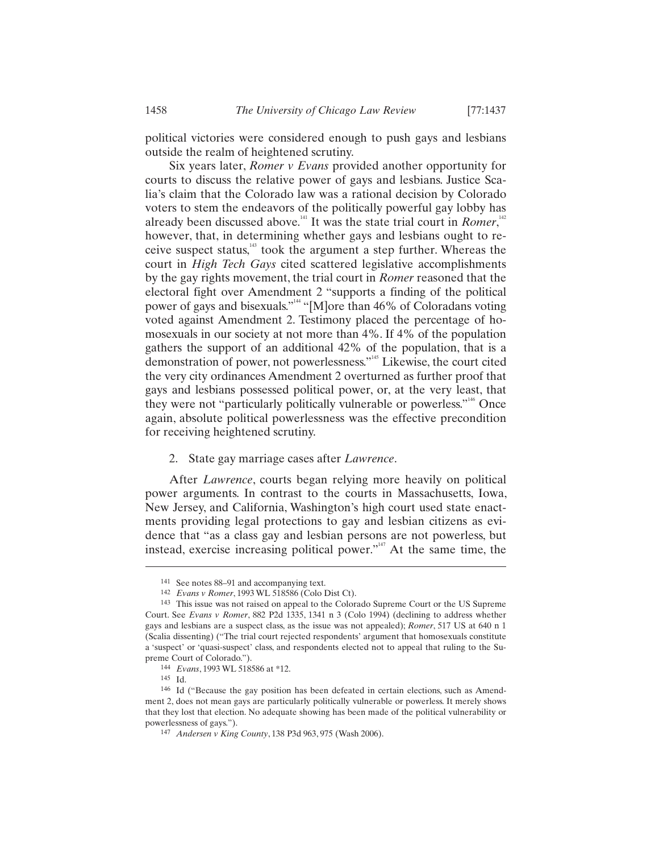political victories were considered enough to push gays and lesbians outside the realm of heightened scrutiny.

Six years later, *Romer v Evans* provided another opportunity for courts to discuss the relative power of gays and lesbians. Justice Scalia's claim that the Colorado law was a rational decision by Colorado voters to stem the endeavors of the politically powerful gay lobby has already been discussed above.<sup>141</sup> It was the state trial court in *Romer*,<sup>142</sup> however, that, in determining whether gays and lesbians ought to receive suspect status,<sup>143</sup> took the argument a step further. Whereas the court in *High Tech Gays* cited scattered legislative accomplishments by the gay rights movement, the trial court in *Romer* reasoned that the electoral fight over Amendment 2 "supports a finding of the political power of gays and bisexuals."144 "[M]ore than 46% of Coloradans voting voted against Amendment 2. Testimony placed the percentage of homosexuals in our society at not more than 4%. If 4% of the population gathers the support of an additional 42% of the population, that is a demonstration of power, not powerlessness."145 Likewise, the court cited the very city ordinances Amendment 2 overturned as further proof that gays and lesbians possessed political power, or, at the very least, that they were not "particularly politically vulnerable or powerless."<sup>146</sup> Once again, absolute political powerlessness was the effective precondition for receiving heightened scrutiny.

## 2. State gay marriage cases after *Lawrence*.

After *Lawrence*, courts began relying more heavily on political power arguments. In contrast to the courts in Massachusetts, Iowa, New Jersey, and California, Washington's high court used state enactments providing legal protections to gay and lesbian citizens as evidence that "as a class gay and lesbian persons are not powerless, but instead, exercise increasing political power."<sup>47</sup> At the same time, the

<sup>&</sup>lt;sup>141</sup> See notes 88–91 and accompanying text.<br><sup>142</sup> *Evans v Romer*, 1993 WL 518586 (Colo Dist Ct).<br><sup>143</sup> This issue was not raised on appeal to the Colorado Supreme Court or the US Supreme Court. See *Evans v Romer*, 882 P2d 1335, 1341 n 3 (Colo 1994) (declining to address whether gays and lesbians are a suspect class, as the issue was not appealed); *Romer*, 517 US at 640 n 1 (Scalia dissenting) ("The trial court rejected respondents' argument that homosexuals constitute a 'suspect' or 'quasi-suspect' class, and respondents elected not to appeal that ruling to the Supreme Court of Colorado.").<br>
<sup>144</sup> *Evans*, 1993 WL 518586 at \*12.<br>
<sup>145</sup> Id. <sup>146</sup> Id ("Because the gay position has been defeated in certain elections, such as Amend-

ment 2, does not mean gays are particularly politically vulnerable or powerless. It merely shows that they lost that election. No adequate showing has been made of the political vulnerability or powerlessness of gays.").

<sup>147</sup> *Andersen v King County*, 138 P3d 963, 975 (Wash 2006).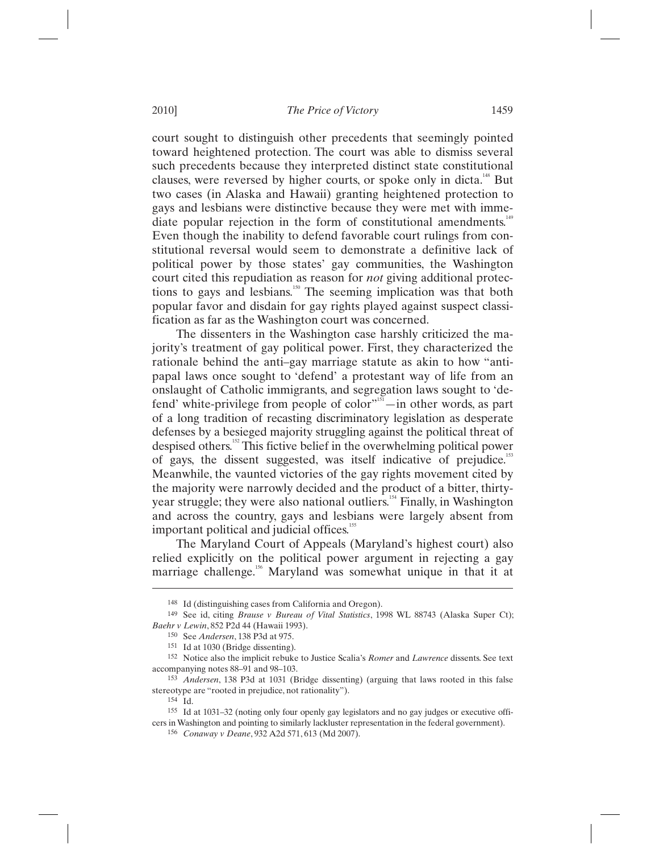court sought to distinguish other precedents that seemingly pointed toward heightened protection. The court was able to dismiss several such precedents because they interpreted distinct state constitutional clauses, were reversed by higher courts, or spoke only in dicta.<sup>148</sup> But two cases (in Alaska and Hawaii) granting heightened protection to gays and lesbians were distinctive because they were met with immediate popular rejection in the form of constitutional amendments.<sup>149</sup> Even though the inability to defend favorable court rulings from constitutional reversal would seem to demonstrate a definitive lack of political power by those states' gay communities, the Washington court cited this repudiation as reason for *not* giving additional protections to gays and lesbians.<sup>150</sup> The seeming implication was that both popular favor and disdain for gay rights played against suspect classification as far as the Washington court was concerned.

The dissenters in the Washington case harshly criticized the majority's treatment of gay political power. First, they characterized the rationale behind the anti–gay marriage statute as akin to how "antipapal laws once sought to 'defend' a protestant way of life from an onslaught of Catholic immigrants, and segregation laws sought to 'defend' white-privilege from people of color"<sup>151</sup>—in other words, as part of a long tradition of recasting discriminatory legislation as desperate defenses by a besieged majority struggling against the political threat of despised others.152 This fictive belief in the overwhelming political power of gays, the dissent suggested, was itself indicative of prejudice.<sup>153</sup> Meanwhile, the vaunted victories of the gay rights movement cited by the majority were narrowly decided and the product of a bitter, thirtyyear struggle; they were also national outliers.<sup>154</sup> Finally, in Washington and across the country, gays and lesbians were largely absent from important political and judicial offices.<sup>155</sup>

The Maryland Court of Appeals (Maryland's highest court) also relied explicitly on the political power argument in rejecting a gay marriage challenge.<sup>156</sup> Maryland was somewhat unique in that it at

<sup>148</sup> Id (distinguishing cases from California and Oregon).

<sup>149</sup> See id, citing *Brause v Bureau of Vital Statistics*, 1998 WL 88743 (Alaska Super Ct); *Baehr v Lewin*, 852 P2d 44 (Hawaii 1993).

<sup>150</sup> See *Andersen*, 138 P3d at 975.

<sup>&</sup>lt;sup>152</sup> Notice also the implicit rebuke to Justice Scalia's *Romer* and *Lawrence* dissents. See text accompanying notes 88–91 and 98–103.

<sup>153</sup> *Andersen*, 138 P3d at 1031 (Bridge dissenting) (arguing that laws rooted in this false stereotype are "rooted in prejudice, not rationality"). 154 Id.

<sup>155</sup> Id at 1031–32 (noting only four openly gay legislators and no gay judges or executive officers in Washington and pointing to similarly lackluster representation in the federal government). 156 *Conaway v Deane*, 932 A2d 571, 613 (Md 2007).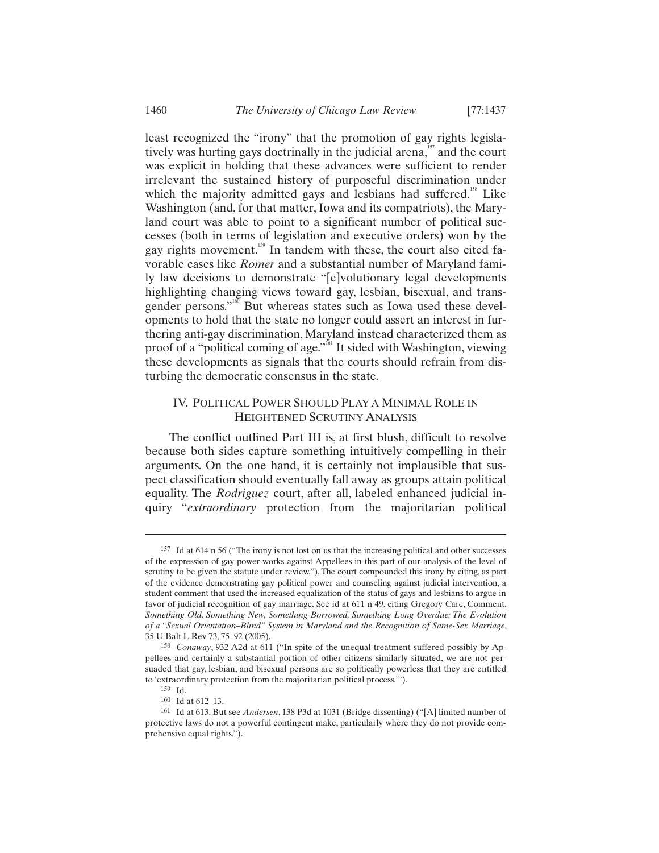least recognized the "irony" that the promotion of gay rights legislatively was hurting gays doctrinally in the judicial arena, $157$  and the court was explicit in holding that these advances were sufficient to render irrelevant the sustained history of purposeful discrimination under which the majority admitted gays and lesbians had suffered.<sup>158</sup> Like Washington (and, for that matter, Iowa and its compatriots), the Maryland court was able to point to a significant number of political successes (both in terms of legislation and executive orders) won by the gay rights movement.<sup>159</sup> In tandem with these, the court also cited favorable cases like *Romer* and a substantial number of Maryland family law decisions to demonstrate "[e]volutionary legal developments highlighting changing views toward gay, lesbian, bisexual, and transgender persons."<sup>160</sup> But whereas states such as Iowa used these developments to hold that the state no longer could assert an interest in furthering anti-gay discrimination, Maryland instead characterized them as proof of a "political coming of age."<sup>161</sup> It sided with Washington, viewing these developments as signals that the courts should refrain from disturbing the democratic consensus in the state.

## IV. POLITICAL POWER SHOULD PLAY A MINIMAL ROLE IN HEIGHTENED SCRUTINY ANALYSIS

The conflict outlined Part III is, at first blush, difficult to resolve because both sides capture something intuitively compelling in their arguments. On the one hand, it is certainly not implausible that suspect classification should eventually fall away as groups attain political equality. The *Rodriguez* court, after all, labeled enhanced judicial inquiry "*extraordinary* protection from the majoritarian political

<sup>157</sup> Id at 614 n 56 ("The irony is not lost on us that the increasing political and other successes of the expression of gay power works against Appellees in this part of our analysis of the level of scrutiny to be given the statute under review."). The court compounded this irony by citing, as part of the evidence demonstrating gay political power and counseling against judicial intervention, a student comment that used the increased equalization of the status of gays and lesbians to argue in favor of judicial recognition of gay marriage. See id at 611 n 49, citing Gregory Care, Comment, *Something Old, Something New, Something Borrowed, Something Long Overdue: The Evolution of a "Sexual Orientation–Blind" System in Maryland and the Recognition of Same-Sex Marriage*, 35 U Balt L Rev 73, 75–92 (2005).

<sup>158</sup> *Conaway*, 932 A2d at 611 ("In spite of the unequal treatment suffered possibly by Appellees and certainly a substantial portion of other citizens similarly situated, we are not persuaded that gay, lesbian, and bisexual persons are so politically powerless that they are entitled to 'extraordinary protection from the majoritarian political process.'").<br>
<sup>159</sup> Id.

<sup>160</sup> Id at 612–13.

<sup>161</sup> Id at 613. But see *Andersen*, 138 P3d at 1031 (Bridge dissenting) ("[A] limited number of protective laws do not a powerful contingent make, particularly where they do not provide comprehensive equal rights.").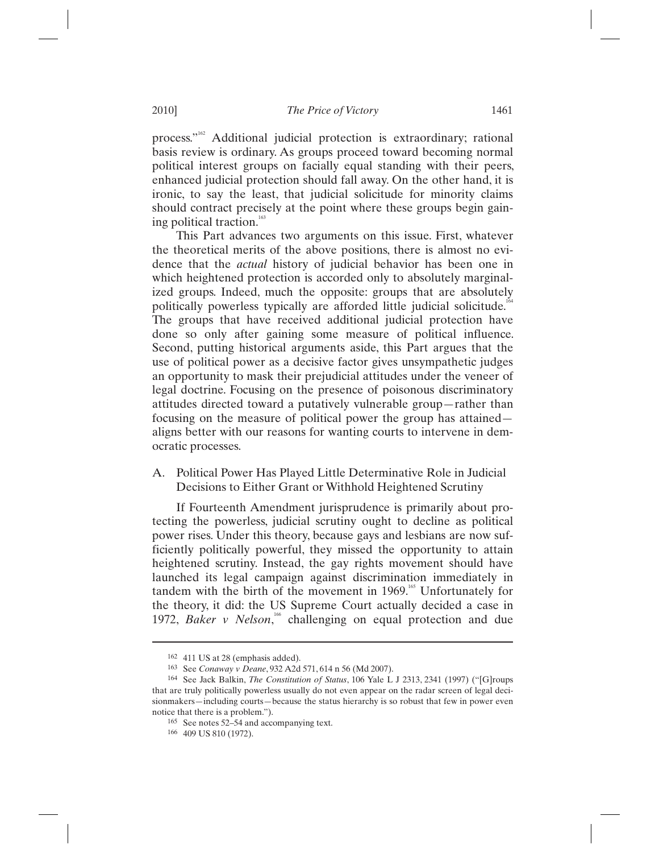process."<sup>162</sup> Additional judicial protection is extraordinary; rational basis review is ordinary. As groups proceed toward becoming normal political interest groups on facially equal standing with their peers, enhanced judicial protection should fall away. On the other hand, it is ironic, to say the least, that judicial solicitude for minority claims should contract precisely at the point where these groups begin gaining political traction.<sup>16</sup>

This Part advances two arguments on this issue. First, whatever the theoretical merits of the above positions, there is almost no evidence that the *actual* history of judicial behavior has been one in which heightened protection is accorded only to absolutely marginalized groups. Indeed, much the opposite: groups that are absolutely politically powerless typically are afforded little judicial solicitude.<sup>16</sup> The groups that have received additional judicial protection have done so only after gaining some measure of political influence. Second, putting historical arguments aside, this Part argues that the use of political power as a decisive factor gives unsympathetic judges an opportunity to mask their prejudicial attitudes under the veneer of legal doctrine. Focusing on the presence of poisonous discriminatory attitudes directed toward a putatively vulnerable group—rather than focusing on the measure of political power the group has attained aligns better with our reasons for wanting courts to intervene in democratic processes.

A. Political Power Has Played Little Determinative Role in Judicial Decisions to Either Grant or Withhold Heightened Scrutiny

If Fourteenth Amendment jurisprudence is primarily about protecting the powerless, judicial scrutiny ought to decline as political power rises. Under this theory, because gays and lesbians are now sufficiently politically powerful, they missed the opportunity to attain heightened scrutiny. Instead, the gay rights movement should have launched its legal campaign against discrimination immediately in tandem with the birth of the movement in  $1969$ .<sup>165</sup> Unfortunately for the theory, it did: the US Supreme Court actually decided a case in 1972, *Baker v Nelson*,<sup>166</sup> challenging on equal protection and due

<sup>162 411</sup> US at 28 (emphasis added).<br>
<sup>163</sup> See *Conaway v Deane*, 932 A2d 571, 614 n 56 (Md 2007).<br>
<sup>164</sup> See Jack Balkin, *The Constitution of Status*, 106 Yale L J 2313, 2341 (1997) ("[G]roups that are truly politically powerless usually do not even appear on the radar screen of legal decisionmakers—including courts—because the status hierarchy is so robust that few in power even notice that there is a problem.").<br> $165$  See notes 52–54 and accompanying text.

<sup>166 409</sup> US 810 (1972).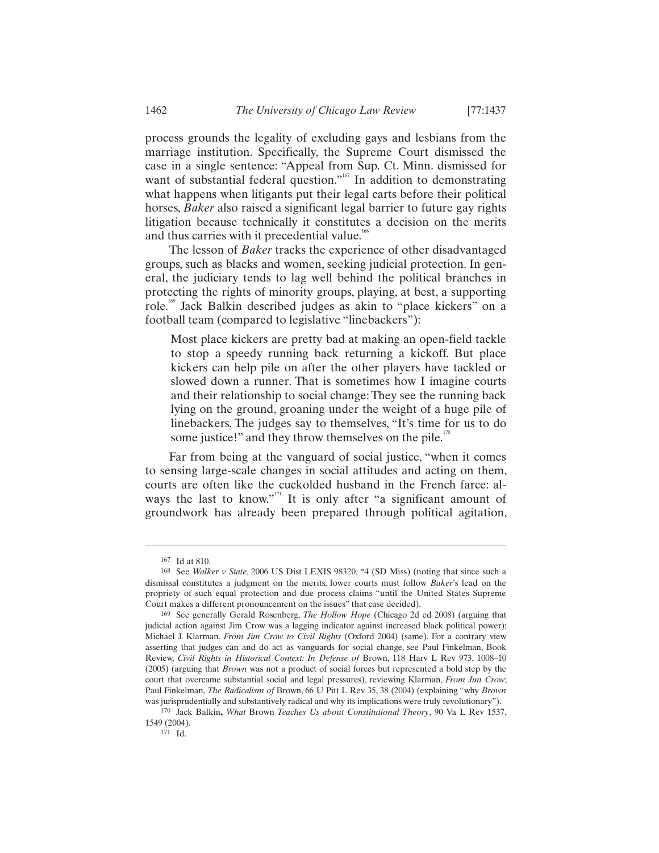process grounds the legality of excluding gays and lesbians from the marriage institution. Specifically, the Supreme Court dismissed the case in a single sentence: "Appeal from Sup. Ct. Minn. dismissed for want of substantial federal question."<sup>167</sup> In addition to demonstrating what happens when litigants put their legal carts before their political horses, *Baker* also raised a significant legal barrier to future gay rights litigation because technically it constitutes a decision on the merits and thus carries with it precedential value. $\mu$ 

The lesson of *Baker* tracks the experience of other disadvantaged groups, such as blacks and women, seeking judicial protection. In general, the judiciary tends to lag well behind the political branches in protecting the rights of minority groups, playing, at best, a supporting role.169 Jack Balkin described judges as akin to "place kickers" on a football team (compared to legislative "linebackers"):

Most place kickers are pretty bad at making an open-field tackle to stop a speedy running back returning a kickoff. But place kickers can help pile on after the other players have tackled or slowed down a runner. That is sometimes how I imagine courts and their relationship to social change: They see the running back lying on the ground, groaning under the weight of a huge pile of linebackers. The judges say to themselves, "It's time for us to do some justice!" and they throw themselves on the pile. $170$ 

Far from being at the vanguard of social justice, "when it comes to sensing large-scale changes in social attitudes and acting on them, courts are often like the cuckolded husband in the French farce: always the last to know."<sup>171</sup> It is only after "a significant amount of groundwork has already been prepared through political agitation,

<sup>&</sup>lt;sup>167</sup> Id at 810.<br><sup>168</sup> See *Walker v State*, 2006 US Dist LEXIS 98320, \*4 (SD Miss) (noting that since such a dismissal constitutes a judgment on the merits, lower courts must follow *Baker*'s lead on the propriety of such equal protection and due process claims "until the United States Supreme Court makes a different pronouncement on the issues" that case decided).

<sup>169</sup> See generally Gerald Rosenberg, *The Hollow Hope* (Chicago 2d ed 2008) (arguing that judicial action against Jim Crow was a lagging indicator against increased black political power); Michael J. Klarman, *From Jim Crow to Civil Rights* (Oxford 2004) (same). For a contrary view asserting that judges can and do act as vanguards for social change, see Paul Finkelman, Book Review, *Civil Rights in Historical Context: In Defense of* Brown, 118 Harv L Rev 973, 1008–10 (2005) (arguing that *Brown* was not a product of social forces but represented a bold step by the court that overcame substantial social and legal pressures), reviewing Klarman, *From Jim Crow*; Paul Finkelman, *The Radicalism of* Brown, 66 U Pitt L Rev 35, 38 (2004) (explaining "why *Brown* was jurisprudentially and substantively radical and why its implications were truly revolutionary").

<sup>170</sup> Jack Balkin**,** *What* Brown *Teaches Us about Constitutional Theory*, 90 Va L Rev 1537, 1549 (2004). 171 Id.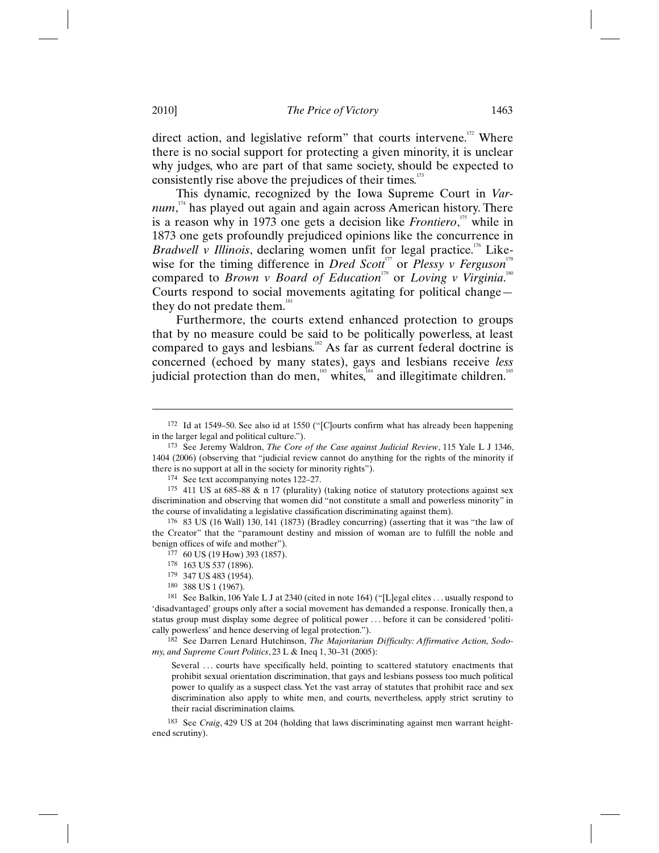direct action, and legislative reform" that courts intervene.<sup>172</sup> Where there is no social support for protecting a given minority, it is unclear why judges, who are part of that same society, should be expected to consistently rise above the prejudices of their times.<sup>173</sup>

This dynamic, recognized by the Iowa Supreme Court in *Varnum*,<sup>174</sup> has played out again and again across American history. There is a reason why in 1973 one gets a decision like *Frontiero*, 175 while in 1873 one gets profoundly prejudiced opinions like the concurrence in *Bradwell v Illinois*, declaring women unfit for legal practice.<sup>176</sup> Likewise for the timing difference in *Dred Scott*<sup>177</sup> or *Plessy v Ferguson*<sup>178</sup> compared to *Brown v Board of Education*<sup>179</sup> or *Loving v Virginia*.<sup>180</sup> Courts respond to social movements agitating for political change they do not predate them. $181$ 

Furthermore, the courts extend enhanced protection to groups that by no measure could be said to be politically powerless, at least compared to gays and lesbians.<sup>182</sup> As far as current federal doctrine is concerned (echoed by many states), gays and lesbians receive *less* judicial protection than do men,<sup>183</sup> whites, $184$  and illegitimate children.<sup>185</sup>

176 83 US (16 Wall) 130, 141 (1873) (Bradley concurring) (asserting that it was "the law of the Creator" that the "paramount destiny and mission of woman are to fulfill the noble and benign offices of wife and mother").<br>
<sup>177</sup> 60 US (19 How) 393 (1857).<br>
<sup>178</sup> 163 US 537 (1896).<br>
<sup>179</sup> 347 US 483 (1954).

180 388 US 1 (1967).

182 See Darren Lenard Hutchinson, *The Majoritarian Difficulty: Affirmative Action, Sodomy, and Supreme Court Politics*, 23 L & Ineq 1, 30–31 (2005):

183 See *Craig*, 429 US at 204 (holding that laws discriminating against men warrant heightened scrutiny).

<sup>172</sup> Id at 1549–50. See also id at 1550 ("[C]ourts confirm what has already been happening in the larger legal and political culture.").

<sup>173</sup> See Jeremy Waldron, *The Core of the Case against Judicial Review*, 115 Yale L J 1346, 1404 (2006) (observing that "judicial review cannot do anything for the rights of the minority if there is no support at all in the society for minority rights").

<sup>174</sup> See text accompanying notes 122–27.

<sup>175 411</sup> US at 685–88 & n 17 (plurality) (taking notice of statutory protections against sex discrimination and observing that women did "not constitute a small and powerless minority" in the course of invalidating a legislative classification discriminating against them).

<sup>181</sup> See Balkin, 106 Yale L J at 2340 (cited in note 164) ("[L]egal elites . . . usually respond to 'disadvantaged' groups only after a social movement has demanded a response. Ironically then, a status group must display some degree of political power . . . before it can be considered 'politically powerless' and hence deserving of legal protection.").

Several ... courts have specifically held, pointing to scattered statutory enactments that prohibit sexual orientation discrimination, that gays and lesbians possess too much political power to qualify as a suspect class. Yet the vast array of statutes that prohibit race and sex discrimination also apply to white men, and courts, nevertheless, apply strict scrutiny to their racial discrimination claims.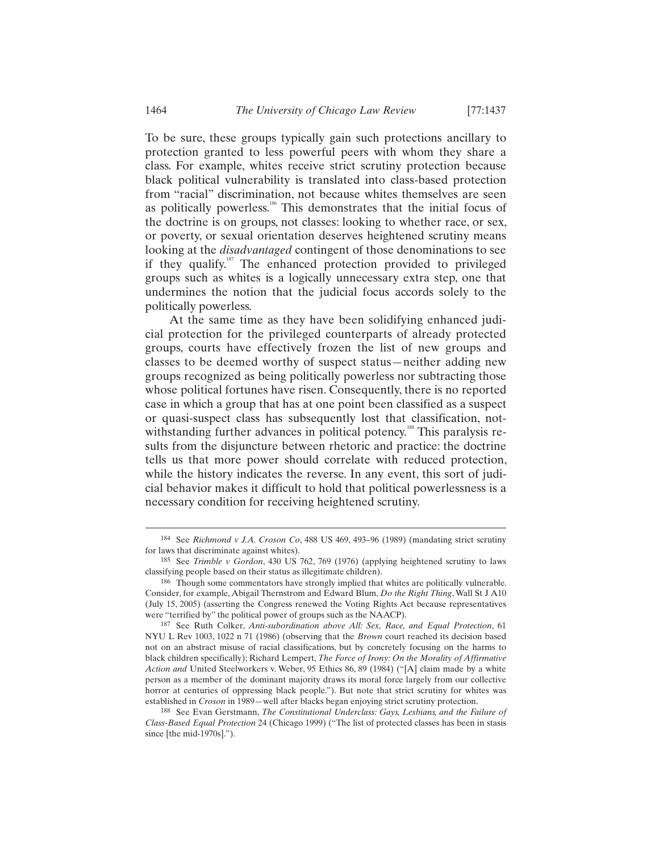To be sure, these groups typically gain such protections ancillary to protection granted to less powerful peers with whom they share a class. For example, whites receive strict scrutiny protection because black political vulnerability is translated into class-based protection from "racial" discrimination, not because whites themselves are seen as politically powerless.<sup>186</sup> This demonstrates that the initial focus of the doctrine is on groups, not classes: looking to whether race, or sex, or poverty, or sexual orientation deserves heightened scrutiny means looking at the *disadvantaged* contingent of those denominations to see if they qualify.<sup>187</sup> The enhanced protection provided to privileged groups such as whites is a logically unnecessary extra step, one that undermines the notion that the judicial focus accords solely to the politically powerless.

At the same time as they have been solidifying enhanced judicial protection for the privileged counterparts of already protected groups, courts have effectively frozen the list of new groups and classes to be deemed worthy of suspect status—neither adding new groups recognized as being politically powerless nor subtracting those whose political fortunes have risen. Consequently, there is no reported case in which a group that has at one point been classified as a suspect or quasi-suspect class has subsequently lost that classification, notwithstanding further advances in political potency.<sup>188</sup> This paralysis results from the disjuncture between rhetoric and practice: the doctrine tells us that more power should correlate with reduced protection, while the history indicates the reverse. In any event, this sort of judicial behavior makes it difficult to hold that political powerlessness is a necessary condition for receiving heightened scrutiny.

 <sup>184</sup> See *Richmond v J.A. Croson Co*, 488 US 469, 493–96 (1989) (mandating strict scrutiny for laws that discriminate against whites).

<sup>185</sup> See *Trimble v Gordon*, 430 US 762, 769 (1976) (applying heightened scrutiny to laws classifying people based on their status as illegitimate children).

<sup>186</sup> Though some commentators have strongly implied that whites are politically vulnerable. Consider, for example, Abigail Thernstrom and Edward Blum, *Do the Right Thing*, Wall St J A10 (July 15, 2005) (asserting the Congress renewed the Voting Rights Act because representatives were "terrified by" the political power of groups such as the NAACP).

<sup>&</sup>lt;sup>187</sup> See Ruth Colker, *Anti-subordination above All: Sex, Race, and Equal Protection*, 61 NYU L Rev 1003, 1022 n 71 (1986) (observing that the *Brown* court reached its decision based not on an abstract misuse of racial classifications, but by concretely focusing on the harms to black children specifically); Richard Lempert, *The Force of Irony: On the Morality of Affirmative Action and* United Steelworkers v. Weber, 95 Ethics 86, 89 (1984) ("[A] claim made by a white person as a member of the dominant majority draws its moral force largely from our collective horror at centuries of oppressing black people."). But note that strict scrutiny for whites was established in *Croson* in 1989—well after blacks began enjoying strict scrutiny protection.

<sup>188</sup> See Evan Gerstmann, *The Constitutional Underclass: Gays, Lesbians, and the Failure of Class-Based Equal Protection* 24 (Chicago 1999) ("The list of protected classes has been in stasis since [the mid-1970s].").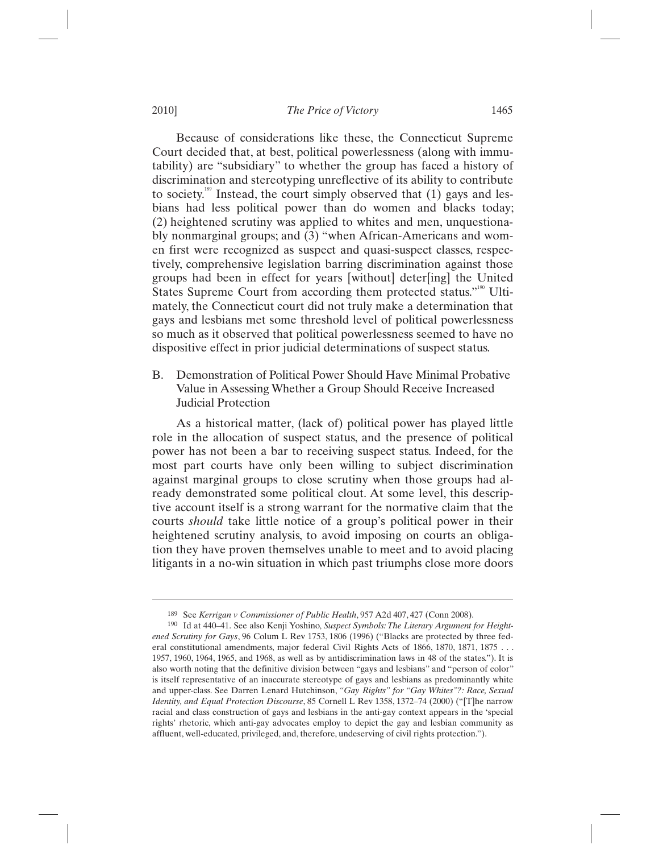Because of considerations like these, the Connecticut Supreme Court decided that, at best, political powerlessness (along with immutability) are "subsidiary" to whether the group has faced a history of discrimination and stereotyping unreflective of its ability to contribute to society.<sup>189</sup> Instead, the court simply observed that  $(1)$  gays and lesbians had less political power than do women and blacks today; (2) heightened scrutiny was applied to whites and men, unquestionably nonmarginal groups; and (3) "when African-Americans and women first were recognized as suspect and quasi-suspect classes, respectively, comprehensive legislation barring discrimination against those groups had been in effect for years [without] deter[ing] the United States Supreme Court from according them protected status."<sup>190</sup> Ultimately, the Connecticut court did not truly make a determination that gays and lesbians met some threshold level of political powerlessness so much as it observed that political powerlessness seemed to have no dispositive effect in prior judicial determinations of suspect status.

B. Demonstration of Political Power Should Have Minimal Probative Value in Assessing Whether a Group Should Receive Increased Judicial Protection

As a historical matter, (lack of) political power has played little role in the allocation of suspect status, and the presence of political power has not been a bar to receiving suspect status. Indeed, for the most part courts have only been willing to subject discrimination against marginal groups to close scrutiny when those groups had already demonstrated some political clout. At some level, this descriptive account itself is a strong warrant for the normative claim that the courts *should* take little notice of a group's political power in their heightened scrutiny analysis, to avoid imposing on courts an obligation they have proven themselves unable to meet and to avoid placing litigants in a no-win situation in which past triumphs close more doors

<sup>&</sup>lt;sup>189</sup> See *Kerrigan v Commissioner of Public Health*, 957 A2d 407, 427 (Conn 2008).<br><sup>190</sup> Id at 440–41. See also Kenji Yoshino, *Suspect Symbols: The Literary Argument for Heightened Scrutiny for Gays*, 96 Colum L Rev 1753, 1806 (1996) ("Blacks are protected by three federal constitutional amendments, major federal Civil Rights Acts of 1866, 1870, 1871, 1875 . . . 1957, 1960, 1964, 1965, and 1968, as well as by antidiscrimination laws in 48 of the states."). It is also worth noting that the definitive division between "gays and lesbians" and "person of color" is itself representative of an inaccurate stereotype of gays and lesbians as predominantly white and upper-class. See Darren Lenard Hutchinson, *"Gay Rights" for "Gay Whites"?: Race, Sexual Identity, and Equal Protection Discourse*, 85 Cornell L Rev 1358, 1372–74 (2000) ("[T]he narrow racial and class construction of gays and lesbians in the anti-gay context appears in the 'special rights' rhetoric, which anti-gay advocates employ to depict the gay and lesbian community as affluent, well-educated, privileged, and, therefore, undeserving of civil rights protection.").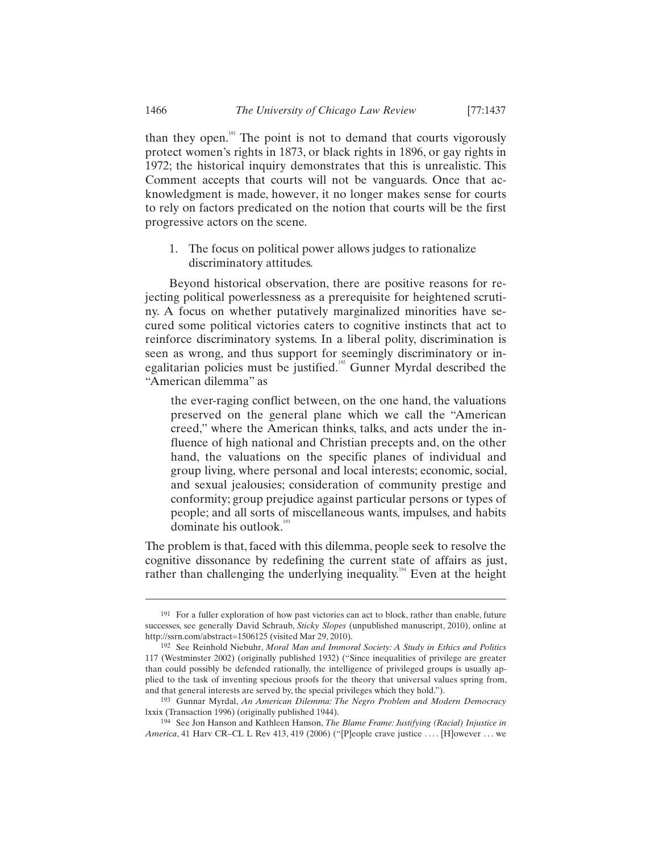than they open.<sup>191</sup> The point is not to demand that courts vigorously protect women's rights in 1873, or black rights in 1896, or gay rights in 1972; the historical inquiry demonstrates that this is unrealistic. This Comment accepts that courts will not be vanguards. Once that acknowledgment is made, however, it no longer makes sense for courts to rely on factors predicated on the notion that courts will be the first progressive actors on the scene.

1. The focus on political power allows judges to rationalize discriminatory attitudes.

Beyond historical observation, there are positive reasons for rejecting political powerlessness as a prerequisite for heightened scrutiny. A focus on whether putatively marginalized minorities have secured some political victories caters to cognitive instincts that act to reinforce discriminatory systems. In a liberal polity, discrimination is seen as wrong, and thus support for seemingly discriminatory or inegalitarian policies must be justified.<sup>192</sup> Gunner Myrdal described the "American dilemma" as

the ever-raging conflict between, on the one hand, the valuations preserved on the general plane which we call the "American creed," where the American thinks, talks, and acts under the influence of high national and Christian precepts and, on the other hand, the valuations on the specific planes of individual and group living, where personal and local interests; economic, social, and sexual jealousies; consideration of community prestige and conformity; group prejudice against particular persons or types of people; and all sorts of miscellaneous wants, impulses, and habits dominate his outlook. $19$ 

The problem is that, faced with this dilemma, people seek to resolve the cognitive dissonance by redefining the current state of affairs as just, rather than challenging the underlying inequality.<sup>194</sup> Even at the height

<sup>191</sup> For a fuller exploration of how past victories can act to block, rather than enable, future successes, see generally David Schraub, *Sticky Slopes* (unpublished manuscript, 2010), online at http://ssrn.com/abstract=1506125 (visited Mar 29, 2010). 192 See Reinhold Niebuhr, *Moral Man and Immoral Society: A Study in Ethics and Politics*

<sup>117 (</sup>Westminster 2002) (originally published 1932) ("Since inequalities of privilege are greater than could possibly be defended rationally, the intelligence of privileged groups is usually applied to the task of inventing specious proofs for the theory that universal values spring from, and that general interests are served by, the special privileges which they hold."). 193 Gunnar Myrdal, *An American Dilemma: The Negro Problem and Modern Democracy*

lxxix (Transaction 1996) (originally published 1944).

<sup>194</sup> See Jon Hanson and Kathleen Hanson, *The Blame Frame: Justifying (Racial) Injustice in America*, 41 Harv CR–CL L Rev 413, 419 (2006) ("[P]eople crave justice .... [H]owever ... we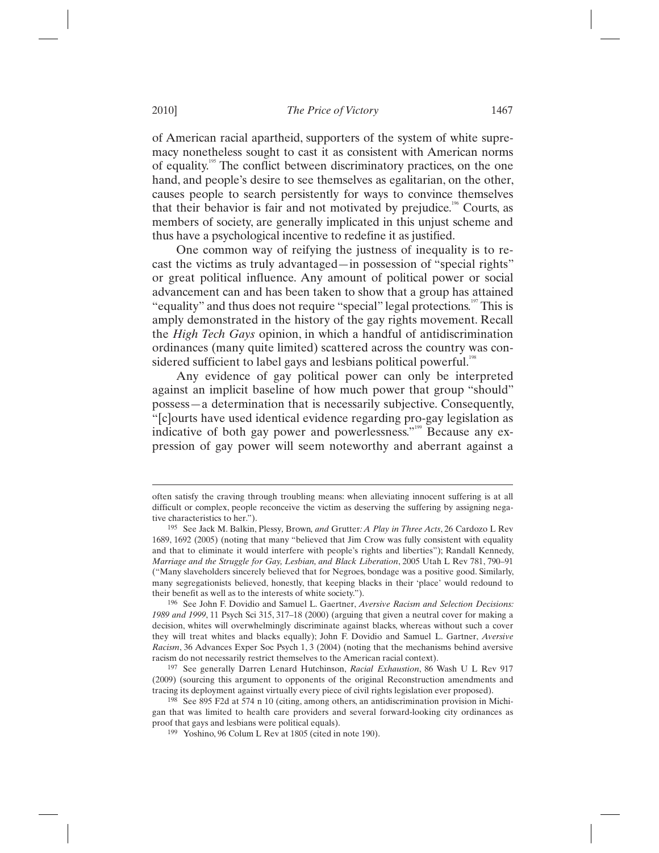of American racial apartheid, supporters of the system of white supremacy nonetheless sought to cast it as consistent with American norms of equality.<sup>195</sup> The conflict between discriminatory practices, on the one hand, and people's desire to see themselves as egalitarian, on the other, causes people to search persistently for ways to convince themselves that their behavior is fair and not motivated by prejudice.<sup>166</sup> Courts, as members of society, are generally implicated in this unjust scheme and thus have a psychological incentive to redefine it as justified.

One common way of reifying the justness of inequality is to recast the victims as truly advantaged—in possession of "special rights" or great political influence. Any amount of political power or social advancement can and has been taken to show that a group has attained "equality" and thus does not require "special" legal protections.<sup>197</sup> This is amply demonstrated in the history of the gay rights movement. Recall the *High Tech Gays* opinion, in which a handful of antidiscrimination ordinances (many quite limited) scattered across the country was considered sufficient to label gays and lesbians political powerful.<sup>19</sup>

Any evidence of gay political power can only be interpreted against an implicit baseline of how much power that group "should" possess—a determination that is necessarily subjective. Consequently, "[c]ourts have used identical evidence regarding pro-gay legislation as indicative of both gay power and powerlessness."<sup>199</sup> Because any expression of gay power will seem noteworthy and aberrant against a

often satisfy the craving through troubling means: when alleviating innocent suffering is at all difficult or complex, people reconceive the victim as deserving the suffering by assigning negative characteristics to her."). 195 See Jack M. Balkin, Plessy*,* Brown*, and* Grutter*: A Play in Three Acts*, 26 Cardozo L Rev

<sup>1689, 1692 (2005) (</sup>noting that many "believed that Jim Crow was fully consistent with equality and that to eliminate it would interfere with people's rights and liberties"); Randall Kennedy, *Marriage and the Struggle for Gay, Lesbian, and Black Liberation*, 2005 Utah L Rev 781, 790–91 ("Many slaveholders sincerely believed that for Negroes, bondage was a positive good. Similarly, many segregationists believed, honestly, that keeping blacks in their 'place' would redound to their benefit as well as to the interests of white society.").

<sup>196</sup> See John F. Dovidio and Samuel L. Gaertner, *Aversive Racism and Selection Decisions: 1989 and 1999*, 11 Psych Sci 315, 317–18 (2000) (arguing that given a neutral cover for making a decision, whites will overwhelmingly discriminate against blacks, whereas without such a cover they will treat whites and blacks equally); John F. Dovidio and Samuel L. Gartner, *Aversive Racism*, 36 Advances Exper Soc Psych 1, 3 (2004) (noting that the mechanisms behind aversive racism do not necessarily restrict themselves to the American racial context). 197 See generally Darren Lenard Hutchinson, *Racial Exhaustion*, 86 Wash U L Rev 917

<sup>(2009) (</sup>sourcing this argument to opponents of the original Reconstruction amendments and tracing its deployment against virtually every piece of civil rights legislation ever proposed).

<sup>198</sup> See 895 F2d at 574 n 10 (citing, among others, an antidiscrimination provision in Michigan that was limited to health care providers and several forward-looking city ordinances as proof that gays and lesbians were political equals).

<sup>199</sup> Yoshino, 96 Colum L Rev at 1805 (cited in note 190).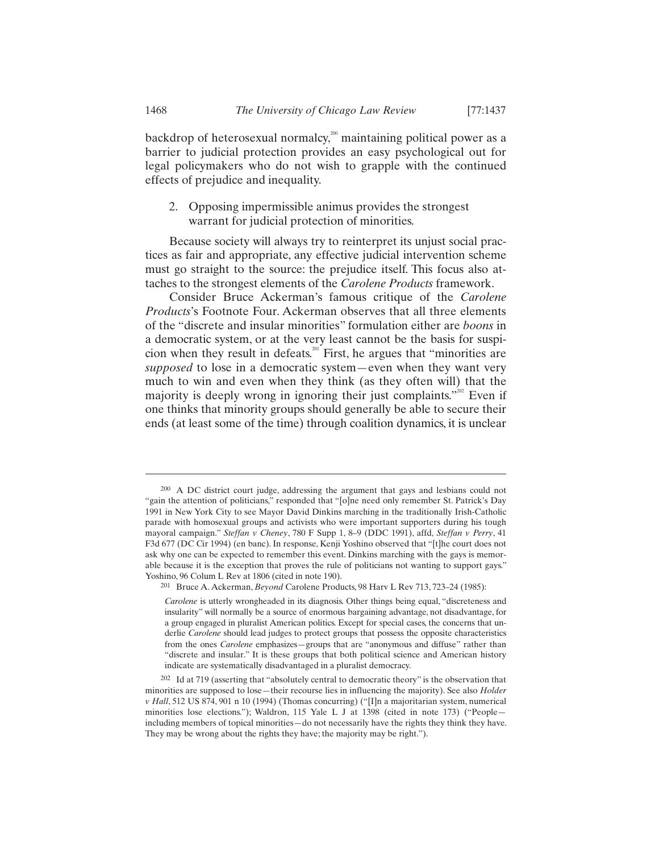backdrop of heterosexual normalcy,<sup>200</sup> maintaining political power as a barrier to judicial protection provides an easy psychological out for legal policymakers who do not wish to grapple with the continued effects of prejudice and inequality.

2. Opposing impermissible animus provides the strongest warrant for judicial protection of minorities.

Because society will always try to reinterpret its unjust social practices as fair and appropriate, any effective judicial intervention scheme must go straight to the source: the prejudice itself. This focus also attaches to the strongest elements of the *Carolene Products* framework.

Consider Bruce Ackerman's famous critique of the *Carolene Products*'s Footnote Four. Ackerman observes that all three elements of the "discrete and insular minorities" formulation either are *boons* in a democratic system, or at the very least cannot be the basis for suspicion when they result in defeats.<sup>201</sup> First, he argues that "minorities are *supposed* to lose in a democratic system—even when they want very much to win and even when they think (as they often will) that the majority is deeply wrong in ignoring their just complaints."<sup>202</sup> Even if one thinks that minority groups should generally be able to secure their ends (at least some of the time) through coalition dynamics, it is unclear

<sup>&</sup>lt;sup>200</sup> A DC district court judge, addressing the argument that gays and lesbians could not "gain the attention of politicians," responded that "[o]ne need only remember St. Patrick's Day 1991 in New York City to see Mayor David Dinkins marching in the traditionally Irish-Catholic parade with homosexual groups and activists who were important supporters during his tough mayoral campaign." *Steffan v Cheney*, 780 F Supp 1, 8–9 (DDC 1991), affd, *Steffan v Perry*, 41 F3d 677 (DC Cir 1994) (en banc). In response, Kenji Yoshino observed that "[t]he court does not ask why one can be expected to remember this event. Dinkins marching with the gays is memorable because it is the exception that proves the rule of politicians not wanting to support gays." Yoshino, 96 Colum L Rev at 1806 (cited in note 190). 201 Bruce A. Ackerman, *Beyond* Carolene Products, 98 Harv L Rev 713, 723–24 (1985):

*Carolene* is utterly wrongheaded in its diagnosis. Other things being equal, "discreteness and insularity" will normally be a source of enormous bargaining advantage, not disadvantage, for a group engaged in pluralist American politics. Except for special cases, the concerns that underlie *Carolene* should lead judges to protect groups that possess the opposite characteristics from the ones *Carolene* emphasizes—groups that are "anonymous and diffuse" rather than "discrete and insular." It is these groups that both political science and American history indicate are systematically disadvantaged in a pluralist democracy.

<sup>202</sup> Id at 719 (asserting that "absolutely central to democratic theory" is the observation that minorities are supposed to lose—their recourse lies in influencing the majority). See also *Holder v Hall*, 512 US 874, 901 n 10 (1994) (Thomas concurring) ("[I]n a majoritarian system, numerical minorities lose elections."); Waldron, 115 Yale L J at 1398 (cited in note 173) ("People including members of topical minorities—do not necessarily have the rights they think they have. They may be wrong about the rights they have; the majority may be right.").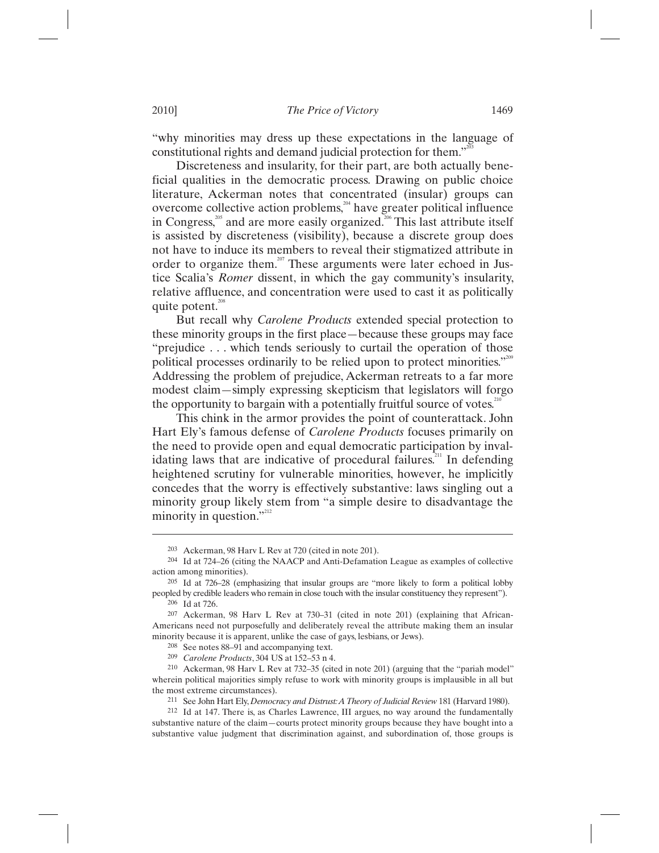"why minorities may dress up these expectations in the language of constitutional rights and demand judicial protection for them.<sup>32</sup>

Discreteness and insularity, for their part, are both actually beneficial qualities in the democratic process. Drawing on public choice literature, Ackerman notes that concentrated (insular) groups can overcome collective action problems, $204$  have greater political influence in Congress,<sup>205</sup> and are more easily organized.<sup>206</sup> This last attribute itself is assisted by discreteness (visibility), because a discrete group does not have to induce its members to reveal their stigmatized attribute in order to organize them.<sup>207</sup> These arguments were later echoed in Justice Scalia's *Romer* dissent, in which the gay community's insularity, relative affluence, and concentration were used to cast it as politically quite potent. $208$ 

But recall why *Carolene Products* extended special protection to these minority groups in the first place—because these groups may face "prejudice . . . which tends seriously to curtail the operation of those political processes ordinarily to be relied upon to protect minorities." Addressing the problem of prejudice, Ackerman retreats to a far more modest claim—simply expressing skepticism that legislators will forgo the opportunity to bargain with a potentially fruitful source of votes.<sup>2</sup>

This chink in the armor provides the point of counterattack. John Hart Ely's famous defense of *Carolene Products* focuses primarily on the need to provide open and equal democratic participation by invalidating laws that are indicative of procedural failures.<sup>211</sup> In defending heightened scrutiny for vulnerable minorities, however, he implicitly concedes that the worry is effectively substantive: laws singling out a minority group likely stem from "a simple desire to disadvantage the minority in question." $2^{12}$ 

206 Id at 726.

<sup>&</sup>lt;sup>203</sup> Ackerman, 98 Harv L Rev at 720 (cited in note 201).<br><sup>204</sup> Id at 724–26 (citing the NAACP and Anti-Defamation League as examples of collective action among minorities).

<sup>205</sup> Id at 726–28 (emphasizing that insular groups are "more likely to form a political lobby peopled by credible leaders who remain in close touch with the insular constituency they represent").

<sup>207</sup> Ackerman, 98 Harv L Rev at 730–31 (cited in note 201) (explaining that African-Americans need not purposefully and deliberately reveal the attribute making them an insular minority because it is apparent, unlike the case of gays, lesbians, or Jews).<br>
<sup>208</sup> See notes 88–91 and accompanying text.<br>
<sup>209</sup> *Carolene Products*, 304 US at 152–53 n 4.<br>
<sup>210</sup> Ackerman, 98 Harv L Rev at 732–35 (cited

wherein political majorities simply refuse to work with minority groups is implausible in all but the most extreme circumstances).

<sup>211</sup> See John Hart Ely, *Democracy and Distrust: A Theory of Judicial Review* 181 (Harvard 1980).

<sup>212</sup> Id at 147. There is, as Charles Lawrence, III argues, no way around the fundamentally substantive nature of the claim—courts protect minority groups because they have bought into a substantive value judgment that discrimination against, and subordination of, those groups is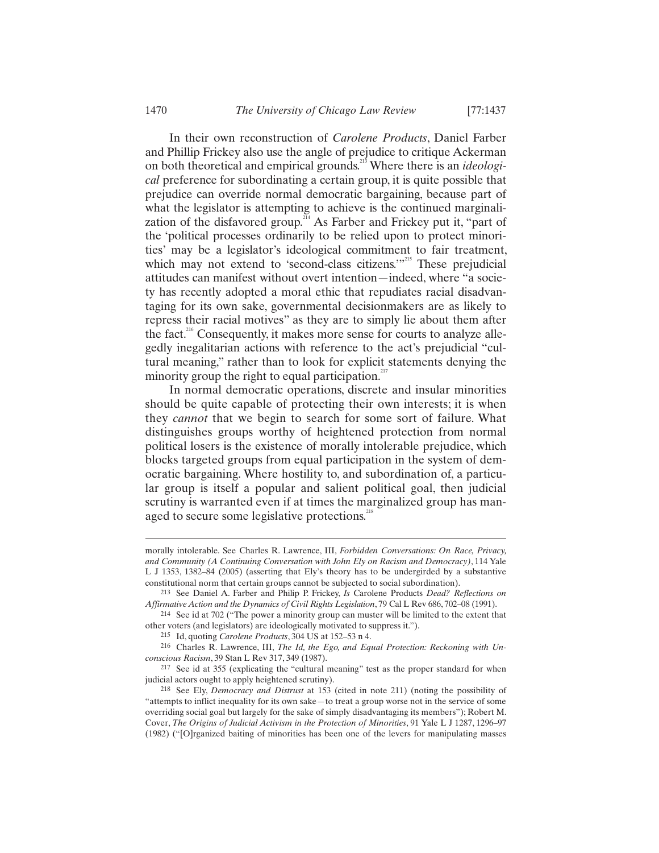In their own reconstruction of *Carolene Products*, Daniel Farber and Phillip Frickey also use the angle of prejudice to critique Ackerman on both theoretical and empirical grounds.213 Where there is an *ideological* preference for subordinating a certain group, it is quite possible that prejudice can override normal democratic bargaining, because part of what the legislator is attempting to achieve is the continued marginalization of the disfavored group.<sup>214</sup> As Farber and Frickey put it, "part of the 'political processes ordinarily to be relied upon to protect minorities' may be a legislator's ideological commitment to fair treatment, which may not extend to 'second-class citizens.'<sup>"215</sup> These prejudicial attitudes can manifest without overt intention—indeed, where "a society has recently adopted a moral ethic that repudiates racial disadvantaging for its own sake, governmental decisionmakers are as likely to repress their racial motives" as they are to simply lie about them after the fact.<sup>216</sup> Consequently, it makes more sense for courts to analyze allegedly inegalitarian actions with reference to the act's prejudicial "cultural meaning," rather than to look for explicit statements denying the minority group the right to equal participation.<sup>217</sup>

In normal democratic operations, discrete and insular minorities should be quite capable of protecting their own interests; it is when they *cannot* that we begin to search for some sort of failure. What distinguishes groups worthy of heightened protection from normal political losers is the existence of morally intolerable prejudice, which blocks targeted groups from equal participation in the system of democratic bargaining. Where hostility to, and subordination of, a particular group is itself a popular and salient political goal, then judicial scrutiny is warranted even if at times the marginalized group has managed to secure some legislative protections.<sup>218</sup>

morally intolerable. See Charles R. Lawrence, III, *Forbidden Conversations: On Race, Privacy, and Community (A Continuing Conversation with John Ely on Racism and Democracy)*, 114 Yale L J 1353, 1382–84 (2005) (asserting that Ely's theory has to be undergirded by a substantive constitutional norm that certain groups cannot be subjected to social subordination).

<sup>213</sup> See Daniel A. Farber and Philip P. Frickey, *Is* Carolene Products *Dead? Reflections on Affirmative Action and the Dynamics of Civil Rights Legislation*, 79 Cal L Rev 686, 702–08 (1991).

<sup>214</sup> See id at 702 ("The power a minority group can muster will be limited to the extent that other voters (and legislators) are ideologically motivated to suppress it.").

<sup>215</sup> Id, quoting *Carolene Products*, 304 US at 152–53 n 4.

<sup>216</sup> Charles R. Lawrence, III, *The Id, the Ego, and Equal Protection: Reckoning with Un-*

<sup>&</sup>lt;sup>217</sup> See id at 355 (explicating the "cultural meaning" test as the proper standard for when judicial actors ought to apply heightened scrutiny).

<sup>218</sup> See Ely, *Democracy and Distrust* at 153 (cited in note 211) (noting the possibility of "attempts to inflict inequality for its own sake—to treat a group worse not in the service of some overriding social goal but largely for the sake of simply disadvantaging its members"); Robert M. Cover, *The Origins of Judicial Activism in the Protection of Minorities*, 91 Yale L J 1287, 1296–97 (1982) ("[O]rganized baiting of minorities has been one of the levers for manipulating masses